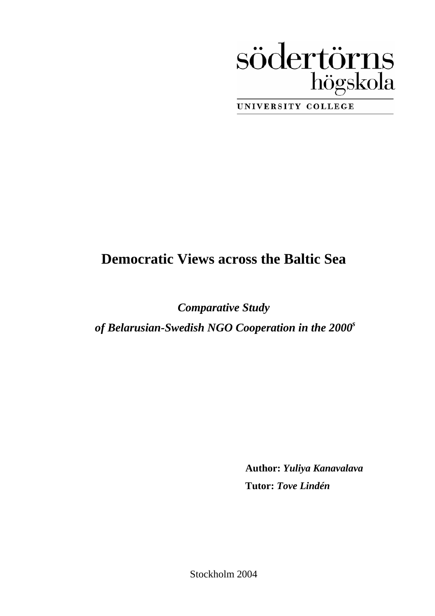

UNIVERSITY COLLEGE

# **Democratic Views across the Baltic Sea**

*Comparative Study* 

of Belarusian-Swedish NGO Cooperation in the 2000<sup>s</sup>

 **Author:** *Yuliya Kanavalava*   **Tutor:** *Tove Lindén* 

Stockholm 2004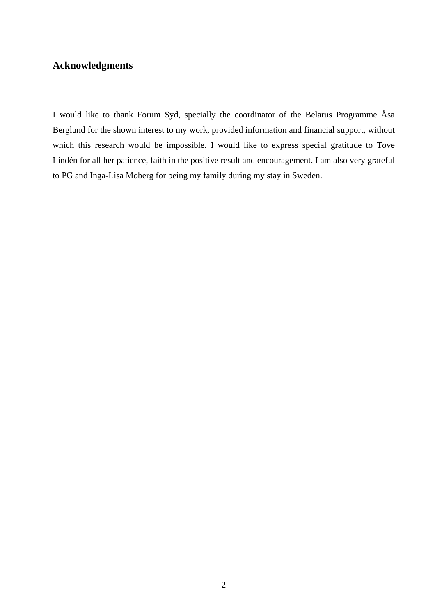# **Acknowledgments**

I would like to thank Forum Syd, specially the coordinator of the Belarus Programme Åsa Berglund for the shown interest to my work, provided information and financial support, without which this research would be impossible. I would like to express special gratitude to Tove Lindén for all her patience, faith in the positive result and encouragement. I am also very grateful to PG and Inga-Lisa Moberg for being my family during my stay in Sweden.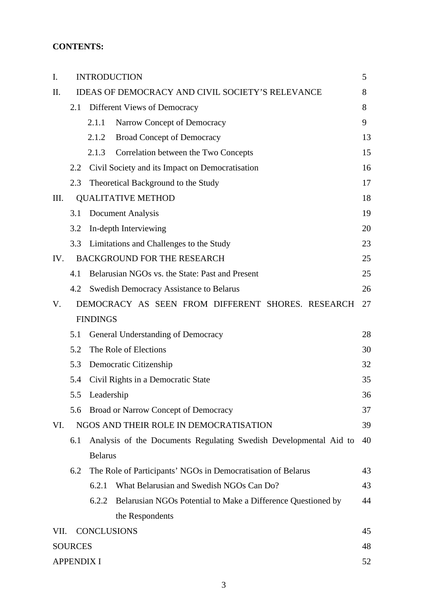# **CONTENTS:**

| I.                   | <b>INTRODUCTION</b><br>5         |                                                                       |    |  |  |  |  |  |  |
|----------------------|----------------------------------|-----------------------------------------------------------------------|----|--|--|--|--|--|--|
| II.                  |                                  | <b>IDEAS OF DEMOCRACY AND CIVIL SOCIETY'S RELEVANCE</b><br>8          |    |  |  |  |  |  |  |
|                      | 2.1                              | Different Views of Democracy<br>8                                     |    |  |  |  |  |  |  |
|                      |                                  | Narrow Concept of Democracy<br>2.1.1                                  | 9  |  |  |  |  |  |  |
|                      |                                  | 2.1.2<br><b>Broad Concept of Democracy</b>                            | 13 |  |  |  |  |  |  |
|                      |                                  | 2.1.3<br>Correlation between the Two Concepts                         | 15 |  |  |  |  |  |  |
|                      | 2.2                              | Civil Society and its Impact on Democratisation                       | 16 |  |  |  |  |  |  |
|                      | 2.3                              | Theoretical Background to the Study                                   | 17 |  |  |  |  |  |  |
| Ш.                   |                                  | <b>QUALITATIVE METHOD</b>                                             | 18 |  |  |  |  |  |  |
|                      | 3.1                              | <b>Document Analysis</b>                                              | 19 |  |  |  |  |  |  |
|                      | 3.2                              | In-depth Interviewing                                                 | 20 |  |  |  |  |  |  |
|                      | 3.3                              | Limitations and Challenges to the Study                               | 23 |  |  |  |  |  |  |
| IV.                  |                                  | <b>BACKGROUND FOR THE RESEARCH</b>                                    | 25 |  |  |  |  |  |  |
|                      | 4.1                              | Belarusian NGOs vs. the State: Past and Present                       | 25 |  |  |  |  |  |  |
|                      | 4.2                              | <b>Swedish Democracy Assistance to Belarus</b>                        | 26 |  |  |  |  |  |  |
| V.                   |                                  | DEMOCRACY AS SEEN FROM DIFFERENT SHORES. RESEARCH                     | 27 |  |  |  |  |  |  |
|                      |                                  | <b>FINDINGS</b>                                                       |    |  |  |  |  |  |  |
|                      | 5.1                              | General Understanding of Democracy                                    | 28 |  |  |  |  |  |  |
|                      | 5.2                              | The Role of Elections                                                 | 30 |  |  |  |  |  |  |
|                      | 5.3                              | 32<br>Democratic Citizenship                                          |    |  |  |  |  |  |  |
|                      | 5.4                              | Civil Rights in a Democratic State<br>35                              |    |  |  |  |  |  |  |
|                      | 5.5                              | 36<br>Leadership                                                      |    |  |  |  |  |  |  |
|                      | 5.6                              | Broad or Narrow Concept of Democracy<br>37                            |    |  |  |  |  |  |  |
| VI.                  |                                  | NGOS AND THEIR ROLE IN DEMOCRATISATION                                | 39 |  |  |  |  |  |  |
|                      | 6.1                              | Analysis of the Documents Regulating Swedish Developmental Aid to     | 40 |  |  |  |  |  |  |
|                      |                                  | <b>Belarus</b>                                                        |    |  |  |  |  |  |  |
|                      | 6.2                              | The Role of Participants' NGOs in Democratisation of Belarus          | 43 |  |  |  |  |  |  |
|                      |                                  | What Belarusian and Swedish NGOs Can Do?<br>6.2.1                     | 43 |  |  |  |  |  |  |
|                      |                                  | 6.2.2<br>Belarusian NGOs Potential to Make a Difference Questioned by | 44 |  |  |  |  |  |  |
|                      |                                  | the Respondents                                                       |    |  |  |  |  |  |  |
|                      | <b>CONCLUSIONS</b><br>VII.<br>45 |                                                                       |    |  |  |  |  |  |  |
| <b>SOURCES</b><br>48 |                                  |                                                                       |    |  |  |  |  |  |  |
|                      | <b>APPENDIX I</b><br>52          |                                                                       |    |  |  |  |  |  |  |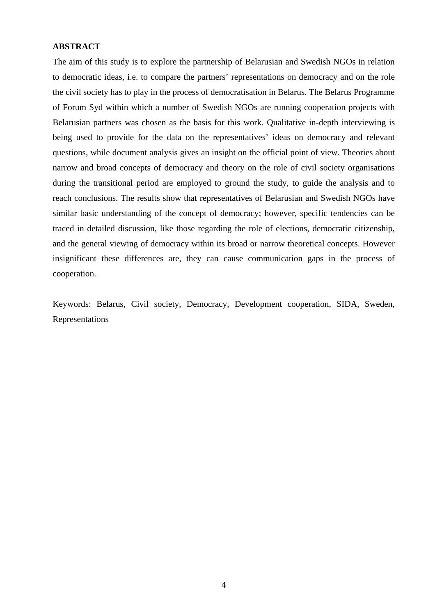## **ABSTRACT**

The aim of this study is to explore the partnership of Belarusian and Swedish NGOs in relation to democratic ideas, i.e. to compare the partners' representations on democracy and on the role the civil society has to play in the process of democratisation in Belarus. The Belarus Programme of Forum Syd within which a number of Swedish NGOs are running cooperation projects with Belarusian partners was chosen as the basis for this work. Qualitative in-depth interviewing is being used to provide for the data on the representatives' ideas on democracy and relevant questions, while document analysis gives an insight on the official point of view. Theories about narrow and broad concepts of democracy and theory on the role of civil society organisations during the transitional period are employed to ground the study, to guide the analysis and to reach conclusions. The results show that representatives of Belarusian and Swedish NGOs have similar basic understanding of the concept of democracy; however, specific tendencies can be traced in detailed discussion, like those regarding the role of elections, democratic citizenship, and the general viewing of democracy within its broad or narrow theoretical concepts. However insignificant these differences are, they can cause communication gaps in the process of cooperation.

Keywords: Belarus, Civil society, Democracy, Development cooperation, SIDA, Sweden, Representations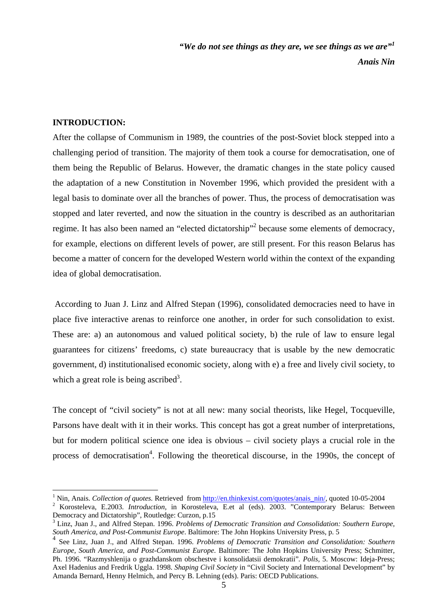*"We do not see things as they are, we see things as we are"1 Anais Nin* 

### **INTRODUCTION:**

 $\overline{a}$ 

After the collapse of Communism in 1989, the countries of the post-Soviet block stepped into a challenging period of transition. The majority of them took a course for democratisation, one of them being the Republic of Belarus. However, the dramatic changes in the state policy caused the adaptation of a new Constitution in November 1996, which provided the president with a legal basis to dominate over all the branches of power. Thus, the process of democratisation was stopped and later reverted, and now the situation in the country is described as an authoritarian regime. It has also been named an "elected dictatorship"<sup>2</sup> because some elements of democracy, for example, elections on different levels of power, are still present. For this reason Belarus has become a matter of concern for the developed Western world within the context of the expanding idea of global democratisation.

 According to Juan J. Linz and Alfred Stepan (1996), consolidated democracies need to have in place five interactive arenas to reinforce one another, in order for such consolidation to exist. These are: a) an autonomous and valued political society, b) the rule of law to ensure legal guarantees for citizens' freedoms, c) state bureaucracy that is usable by the new democratic government, d) institutionalised economic society, along with e) a free and lively civil society, to which a great role is being ascribed<sup>3</sup>.

The concept of "civil society" is not at all new: many social theorists, like Hegel, Tocqueville, Parsons have dealt with it in their works. This concept has got a great number of interpretations, but for modern political science one idea is obvious – civil society plays a crucial role in the process of democratisation<sup>4</sup>. Following the theoretical discourse, in the 1990s, the concept of

<sup>&</sup>lt;sup>1</sup> Nin, Anais. *Collection of quotes.* Retrieved from http://en.thinkexist.com/quotes/anais\_nin/, quoted 10-05-2004

<sup>&</sup>lt;sup>2</sup> Korosteleva, E.2003. *Introduction*, in Korosteleva, E.et al (eds). 2003. "Contemporary Belarus: Between Democracy and Dictatorship", Routledge: Curzon, p.15

Linz, Juan J., and Alfred Stepan. 1996. *Problems of Democratic Transition and Consolidation: Southern Europe, South America, and Post-Communist Europe*. Baltimore: The John Hopkins University Press, p. 5

<sup>4</sup> See Linz, Juan J., and Alfred Stepan. 1996. *Problems of Democratic Transition and Consolidation: Southern Europe, South America, and Post-Communist Europe*. Baltimore: The John Hopkins University Press; Schmitter, Ph. 1996. "Razmyshlenija o grazhdanskom obschestve i konsolidatsii demokratii"*. Polis,* 5. Moscow: Ideja-Press; Axel Hadenius and Fredrik Uggla. 1998. *Shaping Civil Society* in "Civil Society and International Development" by Amanda Bernard, Henny Helmich, and Percy B. Lehning (eds). Paris: OECD Publications.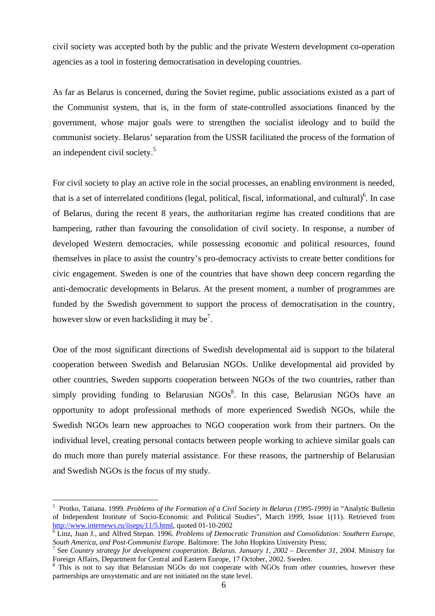civil society was accepted both by the public and the private Western development co-operation agencies as a tool in fostering democratisation in developing countries.

As far as Belarus is concerned, during the Soviet regime, public associations existed as a part of the Communist system, that is, in the form of state-controlled associations financed by the government, whose major goals were to strengthen the socialist ideology and to build the communist society. Belarus' separation from the USSR facilitated the process of the formation of an independent civil society.5

For civil society to play an active role in the social processes, an enabling environment is needed, that is a set of interrelated conditions (legal, political, fiscal, informational, and cultural) $<sup>6</sup>$ . In case</sup> of Belarus, during the recent 8 years, the authoritarian regime has created conditions that are hampering, rather than favouring the consolidation of civil society. In response, a number of developed Western democracies, while possessing economic and political resources, found themselves in place to assist the country's pro-democracy activists to create better conditions for civic engagement. Sweden is one of the countries that have shown deep concern regarding the anti-democratic developments in Belarus. At the present moment, a number of programmes are funded by the Swedish government to support the process of democratisation in the country, however slow or even backsliding it may be<sup>7</sup>.

One of the most significant directions of Swedish developmental aid is support to the bilateral cooperation between Swedish and Belarusian NGOs. Unlike developmental aid provided by other countries, Sweden supports cooperation between NGOs of the two countries, rather than simply providing funding to Belarusian  $NGOs<sup>8</sup>$ . In this case, Belarusian NGOs have an opportunity to adopt professional methods of more experienced Swedish NGOs, while the Swedish NGOs learn new approaches to NGO cooperation work from their partners. On the individual level, creating personal contacts between people working to achieve similar goals can do much more than purely material assistance. For these reasons, the partnership of Belarusian and Swedish NGOs is the focus of my study.

<sup>&</sup>lt;sup>5</sup> Protko, Tatiana. 1999. *Problems of the Formation of a Civil Society in Belarus (1995-1999)* in "Analytic Bulletin of Independent Institute of Socio-Economic and Political Studies", March 1999, Issue 1(11). Retrieved from http://www.internews.ru/iiseps/11/5.html, quoted 01-10-2002

Linz, Juan J., and Alfred Stepan. 1996. *Problems of Democratic Transition and Consolidation: Southern Europe, South America, and Post-Communist Europe*. Baltimore: The John Hopkins University Press; 7

See *Country strategy for development cooperation. Belarus. January 1, 2002 – December 31, 2004.* Ministry for Foreign Affairs, Department for Central and Eastern Europe, 17 October, 2002. Sweden.

<sup>&</sup>lt;sup>8</sup> This is not to say that Belarusian NGOs do not cooperate with NGOs from other countries, however these partnerships are unsystematic and are not initiated on the state level.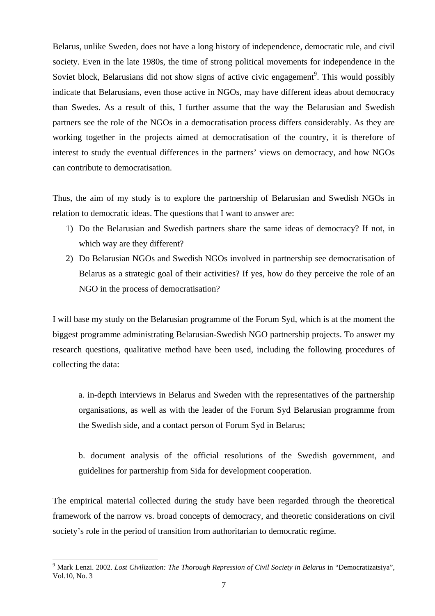Belarus, unlike Sweden, does not have a long history of independence, democratic rule, and civil society. Even in the late 1980s, the time of strong political movements for independence in the Soviet block, Belarusians did not show signs of active civic engagement<sup>9</sup>. This would possibly indicate that Belarusians, even those active in NGOs, may have different ideas about democracy than Swedes. As a result of this, I further assume that the way the Belarusian and Swedish partners see the role of the NGOs in a democratisation process differs considerably. As they are working together in the projects aimed at democratisation of the country, it is therefore of interest to study the eventual differences in the partners' views on democracy, and how NGOs can contribute to democratisation.

Thus, the aim of my study is to explore the partnership of Belarusian and Swedish NGOs in relation to democratic ideas. The questions that I want to answer are:

- 1) Do the Belarusian and Swedish partners share the same ideas of democracy? If not, in which way are they different?
- 2) Do Belarusian NGOs and Swedish NGOs involved in partnership see democratisation of Belarus as a strategic goal of their activities? If yes, how do they perceive the role of an NGO in the process of democratisation?

I will base my study on the Belarusian programme of the Forum Syd, which is at the moment the biggest programme administrating Belarusian-Swedish NGO partnership projects. To answer my research questions, qualitative method have been used, including the following procedures of collecting the data:

a. in-depth interviews in Belarus and Sweden with the representatives of the partnership organisations, as well as with the leader of the Forum Syd Belarusian programme from the Swedish side, and a contact person of Forum Syd in Belarus;

b. document analysis of the official resolutions of the Swedish government, and guidelines for partnership from Sida for development cooperation.

The empirical material collected during the study have been regarded through the theoretical framework of the narrow vs. broad concepts of democracy, and theoretic considerations on civil society's role in the period of transition from authoritarian to democratic regime.

<sup>9</sup> Mark Lenzi. 2002. *Lost Civilization: The Thorough Repression of Civil Society in Belarus* in "Democratizatsiya", Vol.10, No. 3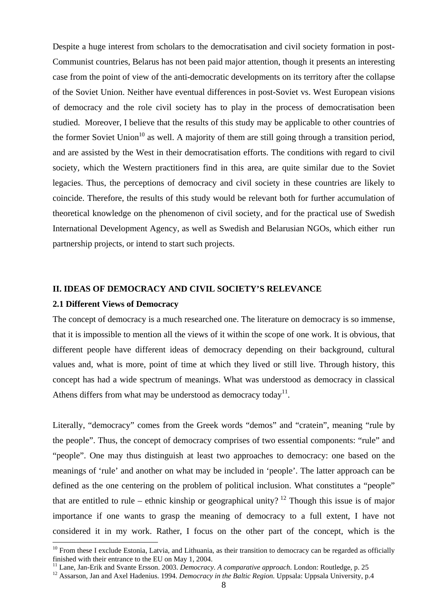Despite a huge interest from scholars to the democratisation and civil society formation in post-Communist countries, Belarus has not been paid major attention, though it presents an interesting case from the point of view of the anti-democratic developments on its territory after the collapse of the Soviet Union. Neither have eventual differences in post-Soviet vs. West European visions of democracy and the role civil society has to play in the process of democratisation been studied. Moreover, I believe that the results of this study may be applicable to other countries of the former Soviet Union<sup>10</sup> as well. A majority of them are still going through a transition period, and are assisted by the West in their democratisation efforts. The conditions with regard to civil society, which the Western practitioners find in this area, are quite similar due to the Soviet legacies. Thus, the perceptions of democracy and civil society in these countries are likely to coincide. Therefore, the results of this study would be relevant both for further accumulation of theoretical knowledge on the phenomenon of civil society, and for the practical use of Swedish International Development Agency, as well as Swedish and Belarusian NGOs, which either run partnership projects, or intend to start such projects.

## **II. IDEAS OF DEMOCRACY AND CIVIL SOCIETY'S RELEVANCE**

#### **2.1 Different Views of Democracy**

The concept of democracy is a much researched one. The literature on democracy is so immense, that it is impossible to mention all the views of it within the scope of one work. It is obvious, that different people have different ideas of democracy depending on their background, cultural values and, what is more, point of time at which they lived or still live. Through history, this concept has had a wide spectrum of meanings. What was understood as democracy in classical Athens differs from what may be understood as democracy today<sup>11</sup>.

Literally, "democracy" comes from the Greek words "demos" and "cratein", meaning "rule by the people". Thus, the concept of democracy comprises of two essential components: "rule" and "people". One may thus distinguish at least two approaches to democracy: one based on the meanings of 'rule' and another on what may be included in 'people'. The latter approach can be defined as the one centering on the problem of political inclusion. What constitutes a "people" that are entitled to rule – ethnic kinship or geographical unity? <sup>12</sup> Though this issue is of major importance if one wants to grasp the meaning of democracy to a full extent, I have not considered it in my work. Rather, I focus on the other part of the concept, which is the  $\overline{a}$ 

 $10$  From these I exclude Estonia, Latvia, and Lithuania, as their transition to democracy can be regarded as officially finished with their entrance to the EU on May 1, 2004.<br><sup>11</sup> Lane, Jan-Erik and Svante Ersson. 2003. *Democracy. A comparative approach*. London: Routledge, p. 25

<sup>&</sup>lt;sup>12</sup> Assarson, Jan and Axel Hadenius. 1994. *Democracy in the Baltic Region*. Uppsala: Uppsala University, p. 4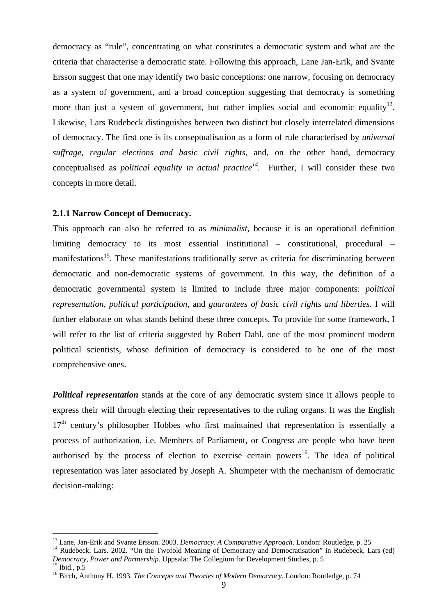democracy as "rule", concentrating on what constitutes a democratic system and what are the criteria that characterise a democratic state. Following this approach, Lane Jan-Erik, and Svante Ersson suggest that one may identify two basic conceptions: one narrow, focusing on democracy as a system of government, and a broad conception suggesting that democracy is something more than just a system of government, but rather implies social and economic equality<sup>13</sup>. Likewise, Lars Rudebeck distinguishes between two distinct but closely interrelated dimensions of democracy. The first one is its conseptualisation as a form of rule characterised by *universal suffrage, regular elections and basic civil rights,* and, on the other hand, democracy conceptualised as *political equality in actual practice*<sup>14</sup>. Further, I will consider these two concepts in more detail.

#### **2.1.1 Narrow Concept of Democracy.**

This approach can also be referred to as *minimalist*, because it is an operational definition limiting democracy to its most essential institutional – constitutional, procedural – manifestations<sup>15</sup>. These manifestations traditionally serve as criteria for discriminating between democratic and non-democratic systems of government. In this way, the definition of a democratic governmental system is limited to include three major components: *political representation, political participation,* and *guarantees of basic civil rights and liberties*. I will further elaborate on what stands behind these three concepts. To provide for some framework, I will refer to the list of criteria suggested by Robert Dahl, one of the most prominent modern political scientists, whose definition of democracy is considered to be one of the most comprehensive ones.

*Political representation* stands at the core of any democratic system since it allows people to express their will through electing their representatives to the ruling organs. It was the English  $17<sup>th</sup>$  century's philosopher Hobbes who first maintained that representation is essentially a process of authorization, i.e. Members of Parliament, or Congress are people who have been authorised by the process of election to exercise certain powers<sup>16</sup>. The idea of political representation was later associated by Joseph A. Shumpeter with the mechanism of democratic decision-making:

<sup>&</sup>lt;sup>13</sup> Lane, Jan-Erik and Svante Ersson. 2003. *Democracy. A Comparative Approach*. London: Routledge, p. 25<sup>14</sup> Rudebeck, Lars. 2002. "On the Twofold Meaning of Democracy and Democratisation" in Rudebeck, Lars (ed)

*Democracy, Power and Partnership.* Uppsala: The Collegium for Development Studies, p. 5<sup>15</sup> Ibid., p.5

<sup>16</sup> Birch, Anthony H. 1993. *The Concepts and Theories of Modern Democracy.* London: Routledge, p. 74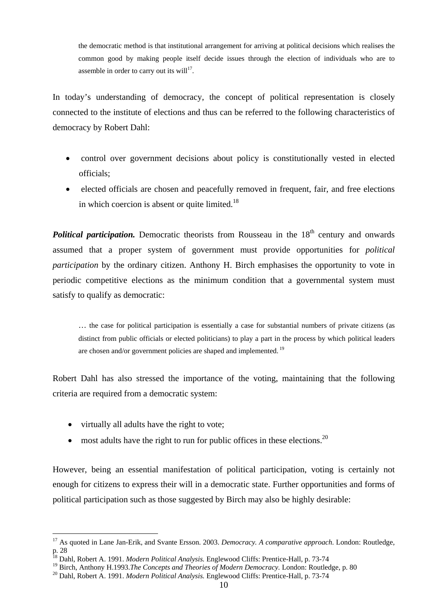the democratic method is that institutional arrangement for arriving at political decisions which realises the common good by making people itself decide issues through the election of individuals who are to assemble in order to carry out its will $17$ .

In today's understanding of democracy, the concept of political representation is closely connected to the institute of elections and thus can be referred to the following characteristics of democracy by Robert Dahl:

- control over government decisions about policy is constitutionally vested in elected officials;
- elected officials are chosen and peacefully removed in frequent, fair, and free elections in which coercion is absent or quite limited.<sup>18</sup>

**Political participation.** Democratic theorists from Rousseau in the 18<sup>th</sup> century and onwards assumed that a proper system of government must provide opportunities for *political participation* by the ordinary citizen. Anthony H. Birch emphasises the opportunity to vote in periodic competitive elections as the minimum condition that a governmental system must satisfy to qualify as democratic:

… the case for political participation is essentially a case for substantial numbers of private citizens (as distinct from public officials or elected politicians) to play a part in the process by which political leaders are chosen and/or government policies are shaped and implemented.<sup>19</sup>

Robert Dahl has also stressed the importance of the voting, maintaining that the following criteria are required from a democratic system:

• virtually all adults have the right to vote;

 $\overline{a}$ 

• most adults have the right to run for public offices in these elections.<sup>20</sup>

However, being an essential manifestation of political participation, voting is certainly not enough for citizens to express their will in a democratic state. Further opportunities and forms of political participation such as those suggested by Birch may also be highly desirable:

<sup>17</sup> As quoted in Lane Jan-Erik, and Svante Ersson. 2003. *Democracy. A comparative approach*. London: Routledge, p. 28

<sup>&</sup>lt;sup>18</sup> Dahl, Robert A. 1991. *Modern Political Analysis*. Englewood Cliffs: Prentice-Hall, p. 73-74

<sup>&</sup>lt;sup>19</sup> Birch, Anthony H.1993.*The Concepts and Theories of Modern Democracy*. London: Routledge, p. 80<sup>20</sup> Dahl, Robert A. 1991. *Modern Political Analysis.* Englewood Cliffs: Prentice-Hall, p. 73-74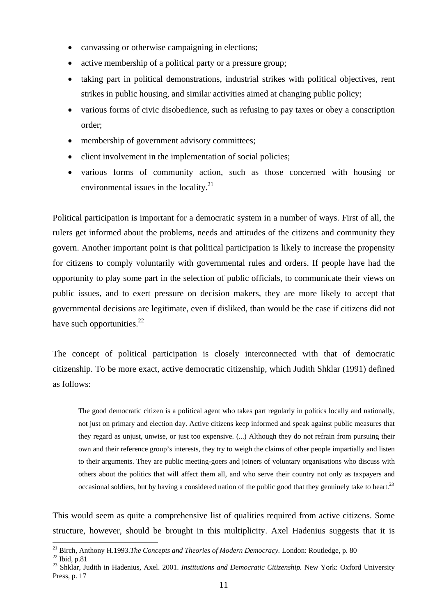- canvassing or otherwise campaigning in elections;
- active membership of a political party or a pressure group;
- taking part in political demonstrations, industrial strikes with political objectives, rent strikes in public housing, and similar activities aimed at changing public policy;
- various forms of civic disobedience, such as refusing to pay taxes or obey a conscription order;
- membership of government advisory committees;
- client involvement in the implementation of social policies;
- various forms of community action, such as those concerned with housing or environmental issues in the locality. $^{21}$

Political participation is important for a democratic system in a number of ways. First of all, the rulers get informed about the problems, needs and attitudes of the citizens and community they govern. Another important point is that political participation is likely to increase the propensity for citizens to comply voluntarily with governmental rules and orders. If people have had the opportunity to play some part in the selection of public officials, to communicate their views on public issues, and to exert pressure on decision makers, they are more likely to accept that governmental decisions are legitimate, even if disliked, than would be the case if citizens did not have such opportunities. $^{22}$ 

The concept of political participation is closely interconnected with that of democratic citizenship. To be more exact, active democratic citizenship, which Judith Shklar (1991) defined as follows:

The good democratic citizen is a political agent who takes part regularly in politics locally and nationally, not just on primary and election day. Active citizens keep informed and speak against public measures that they regard as unjust, unwise, or just too expensive. (...) Although they do not refrain from pursuing their own and their reference group's interests, they try to weigh the claims of other people impartially and listen to their arguments. They are public meeting-goers and joiners of voluntary organisations who discuss with others about the politics that will affect them all, and who serve their country not only as taxpayers and occasional soldiers, but by having a considered nation of the public good that they genuinely take to heart.<sup>23</sup>

This would seem as quite a comprehensive list of qualities required from active citizens. Some structure, however, should be brought in this multiplicity. Axel Hadenius suggests that it is

<sup>&</sup>lt;sup>21</sup> Birch, Anthony H.1993.*The Concepts and Theories of Modern Democracy*. London: Routledge, p. 80<br><sup>22</sup> Ibid, p.81

<sup>&</sup>lt;sup>23</sup> Shklar, Judith in Hadenius, Axel. 2001. *Institutions and Democratic Citizenship*. New York: Oxford University Press, p. 17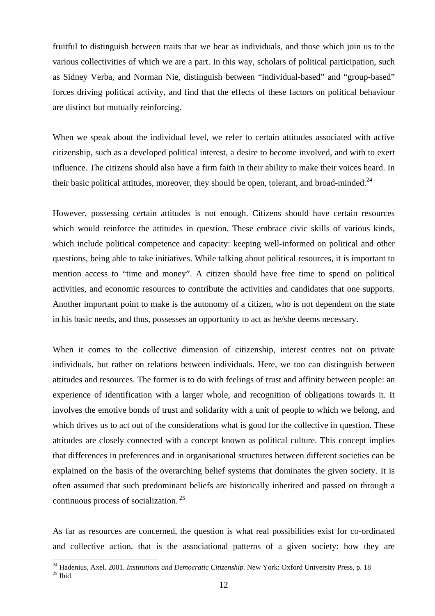fruitful to distinguish between traits that we bear as individuals, and those which join us to the various collectivities of which we are a part. In this way, scholars of political participation, such as Sidney Verba, and Norman Nie, distinguish between "individual-based" and "group-based" forces driving political activity, and find that the effects of these factors on political behaviour are distinct but mutually reinforcing.

When we speak about the individual level, we refer to certain attitudes associated with active citizenship, such as a developed political interest, a desire to become involved, and with to exert influence. The citizens should also have a firm faith in their ability to make their voices heard. In their basic political attitudes, moreover, they should be open, tolerant, and broad-minded. $^{24}$ 

However, possessing certain attitudes is not enough. Citizens should have certain resources which would reinforce the attitudes in question. These embrace civic skills of various kinds, which include political competence and capacity: keeping well-informed on political and other questions, being able to take initiatives. While talking about political resources, it is important to mention access to "time and money". A citizen should have free time to spend on political activities, and economic resources to contribute the activities and candidates that one supports. Another important point to make is the autonomy of a citizen, who is not dependent on the state in his basic needs, and thus, possesses an opportunity to act as he/she deems necessary.

When it comes to the collective dimension of citizenship, interest centres not on private individuals, but rather on relations between individuals. Here, we too can distinguish between attitudes and resources. The former is to do with feelings of trust and affinity between people: an experience of identification with a larger whole, and recognition of obligations towards it. It involves the emotive bonds of trust and solidarity with a unit of people to which we belong, and which drives us to act out of the considerations what is good for the collective in question. These attitudes are closely connected with a concept known as political culture. This concept implies that differences in preferences and in organisational structures between different societies can be explained on the basis of the overarching belief systems that dominates the given society. It is often assumed that such predominant beliefs are historically inherited and passed on through a continuous process of socialization.<sup>25</sup>

As far as resources are concerned, the question is what real possibilities exist for co-ordinated and collective action, that is the associational patterns of a given society: how they are

<sup>&</sup>lt;sup>24</sup> Hadenius, Axel. 2001. *Institutions and Democratic Citizenship*. New York: Oxford University Press, p. 18<br><sup>25</sup> Ibid.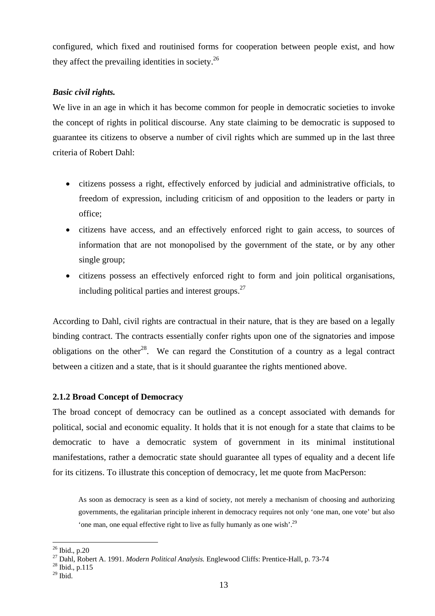configured, which fixed and routinised forms for cooperation between people exist, and how they affect the prevailing identities in society.<sup>26</sup>

# *Basic civil rights.*

We live in an age in which it has become common for people in democratic societies to invoke the concept of rights in political discourse. Any state claiming to be democratic is supposed to guarantee its citizens to observe a number of civil rights which are summed up in the last three criteria of Robert Dahl:

- citizens possess a right, effectively enforced by judicial and administrative officials, to freedom of expression, including criticism of and opposition to the leaders or party in office;
- citizens have access, and an effectively enforced right to gain access, to sources of information that are not monopolised by the government of the state, or by any other single group;
- citizens possess an effectively enforced right to form and join political organisations, including political parties and interest groups.<sup>27</sup>

According to Dahl, civil rights are contractual in their nature, that is they are based on a legally binding contract. The contracts essentially confer rights upon one of the signatories and impose obligations on the other<sup>28</sup>. We can regard the Constitution of a country as a legal contract between a citizen and a state, that is it should guarantee the rights mentioned above.

# **2.1.2 Broad Concept of Democracy**

The broad concept of democracy can be outlined as a concept associated with demands for political, social and economic equality. It holds that it is not enough for a state that claims to be democratic to have a democratic system of government in its minimal institutional manifestations, rather a democratic state should guarantee all types of equality and a decent life for its citizens. To illustrate this conception of democracy, let me quote from MacPerson:

As soon as democracy is seen as a kind of society, not merely a mechanism of choosing and authorizing governments, the egalitarian principle inherent in democracy requires not only 'one man, one vote' but also 'one man, one equal effective right to live as fully humanly as one wish'.29

 $\overline{a}$  $26$  Ibid., p.20

<sup>&</sup>lt;sup>27</sup> Dahl, Robert A. 1991. *Modern Political Analysis*. Englewood Cliffs: Prentice-Hall, p. 73-74

 $^{28}$  Ibid., p.115<br> $^{29}$  Ibid.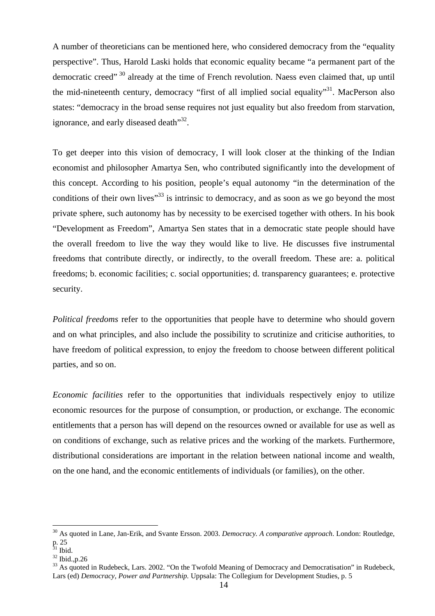A number of theoreticians can be mentioned here, who considered democracy from the "equality perspective". Thus, Harold Laski holds that economic equality became "a permanent part of the democratic creed"<sup>30</sup> already at the time of French revolution. Naess even claimed that, up until the mid-nineteenth century, democracy "first of all implied social equality"<sup>31</sup>. MacPerson also states: "democracy in the broad sense requires not just equality but also freedom from starvation, ignorance, and early diseased death<sup>"32</sup>.

To get deeper into this vision of democracy, I will look closer at the thinking of the Indian economist and philosopher Amartya Sen, who contributed significantly into the development of this concept. According to his position, people's equal autonomy "in the determination of the conditions of their own lives" $33$  is intrinsic to democracy, and as soon as we go beyond the most private sphere, such autonomy has by necessity to be exercised together with others. In his book "Development as Freedom", Amartya Sen states that in a democratic state people should have the overall freedom to live the way they would like to live. He discusses five instrumental freedoms that contribute directly, or indirectly, to the overall freedom. These are: a. political freedoms; b. economic facilities; c. social opportunities; d. transparency guarantees; e. protective security.

*Political freedoms* refer to the opportunities that people have to determine who should govern and on what principles, and also include the possibility to scrutinize and criticise authorities, to have freedom of political expression, to enjoy the freedom to choose between different political parties, and so on.

*Economic facilities* refer to the opportunities that individuals respectively enjoy to utilize economic resources for the purpose of consumption, or production, or exchange. The economic entitlements that a person has will depend on the resources owned or available for use as well as on conditions of exchange, such as relative prices and the working of the markets. Furthermore, distributional considerations are important in the relation between national income and wealth, on the one hand, and the economic entitlements of individuals (or families), on the other.

<sup>30</sup> As quoted in Lane, Jan-Erik, and Svante Ersson. 2003. *Democracy. A comparative approach*. London: Routledge, p. 25

 $31$  Ibid.

<sup>32</sup> Ibid.,p.26

<sup>&</sup>lt;sup>33</sup> As quoted in Rudebeck, Lars. 2002. "On the Twofold Meaning of Democracy and Democratisation" in Rudebeck, Lars (ed) *Democracy, Power and Partnership.* Uppsala: The Collegium for Development Studies, p. 5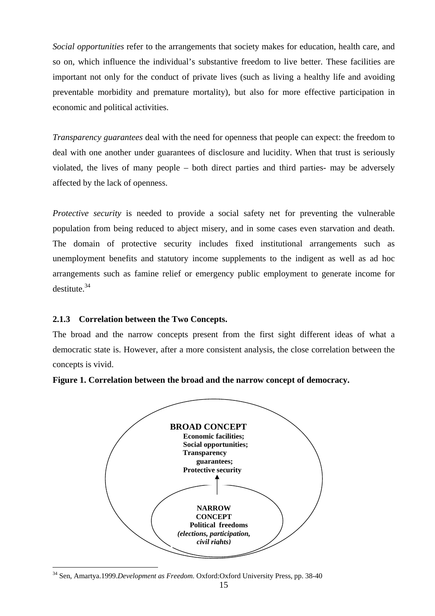*Social opportunities* refer to the arrangements that society makes for education, health care, and so on, which influence the individual's substantive freedom to live better. These facilities are important not only for the conduct of private lives (such as living a healthy life and avoiding preventable morbidity and premature mortality), but also for more effective participation in economic and political activities.

*Transparency guarantees* deal with the need for openness that people can expect: the freedom to deal with one another under guarantees of disclosure and lucidity. When that trust is seriously violated, the lives of many people – both direct parties and third parties- may be adversely affected by the lack of openness.

*Protective security* is needed to provide a social safety net for preventing the vulnerable population from being reduced to abject misery, and in some cases even starvation and death. The domain of protective security includes fixed institutional arrangements such as unemployment benefits and statutory income supplements to the indigent as well as ad hoc arrangements such as famine relief or emergency public employment to generate income for destitute. $34$ 

# **2.1.3 Correlation between the Two Concepts.**

The broad and the narrow concepts present from the first sight different ideas of what a democratic state is. However, after a more consistent analysis, the close correlation between the concepts is vivid.





 $\overline{a}$ 34 Sen, Amartya.1999.*Development as Freedom.* Oxford:Oxford University Press, pp. 38-40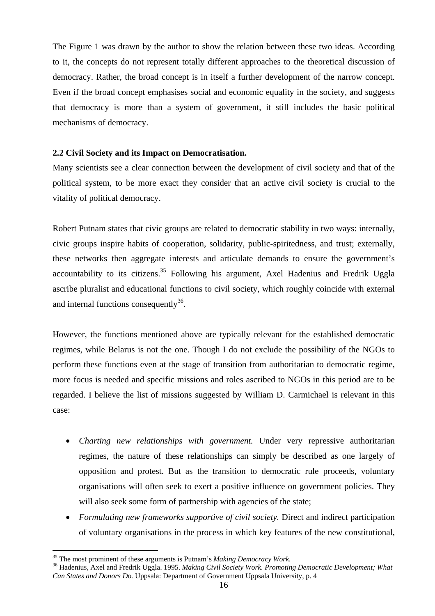The Figure 1 was drawn by the author to show the relation between these two ideas. According to it, the concepts do not represent totally different approaches to the theoretical discussion of democracy. Rather, the broad concept is in itself a further development of the narrow concept. Even if the broad concept emphasises social and economic equality in the society, and suggests that democracy is more than a system of government, it still includes the basic political mechanisms of democracy.

## **2.2 Civil Society and its Impact on Democratisation.**

Many scientists see a clear connection between the development of civil society and that of the political system, to be more exact they consider that an active civil society is crucial to the vitality of political democracy.

Robert Putnam states that civic groups are related to democratic stability in two ways: internally, civic groups inspire habits of cooperation, solidarity, public-spiritedness, and trust; externally, these networks then aggregate interests and articulate demands to ensure the government's accountability to its citizens.<sup>35</sup> Following his argument, Axel Hadenius and Fredrik Uggla ascribe pluralist and educational functions to civil society, which roughly coincide with external and internal functions consequently $36$ .

However, the functions mentioned above are typically relevant for the established democratic regimes, while Belarus is not the one. Though I do not exclude the possibility of the NGOs to perform these functions even at the stage of transition from authoritarian to democratic regime, more focus is needed and specific missions and roles ascribed to NGOs in this period are to be regarded. I believe the list of missions suggested by William D. Carmichael is relevant in this case:

- *Charting new relationships with government.* Under very repressive authoritarian regimes, the nature of these relationships can simply be described as one largely of opposition and protest. But as the transition to democratic rule proceeds, voluntary organisations will often seek to exert a positive influence on government policies. They will also seek some form of partnership with agencies of the state;
- *Formulating new frameworks supportive of civil society.* Direct and indirect participation of voluntary organisations in the process in which key features of the new constitutional,

<sup>&</sup>lt;sup>35</sup> The most prominent of these arguments is Putnam's Making Democracy Work.

<sup>&</sup>lt;sup>36</sup> Hadenius, Axel and Fredrik Uggla. 1995. *Making Civil Society Work. Promoting Democratic Development; What Can States and Donors Do.* Uppsala: Department of Government Uppsala University, p. 4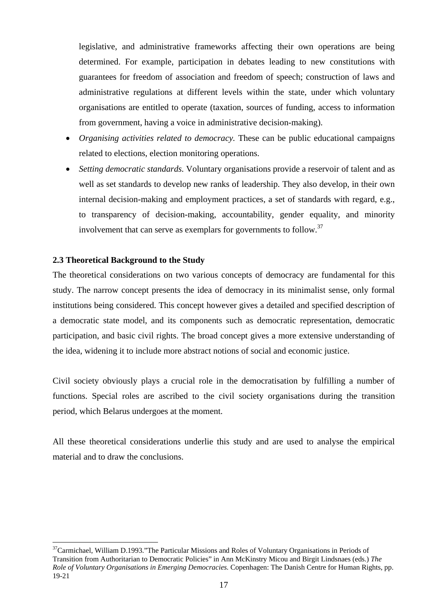legislative, and administrative frameworks affecting their own operations are being determined. For example, participation in debates leading to new constitutions with guarantees for freedom of association and freedom of speech; construction of laws and administrative regulations at different levels within the state, under which voluntary organisations are entitled to operate (taxation, sources of funding, access to information from government, having a voice in administrative decision-making).

- *Organising activities related to democracy.* These can be public educational campaigns related to elections, election monitoring operations.
- *Setting democratic standards.* Voluntary organisations provide a reservoir of talent and as well as set standards to develop new ranks of leadership. They also develop, in their own internal decision-making and employment practices, a set of standards with regard, e.g., to transparency of decision-making, accountability, gender equality, and minority involvement that can serve as exemplars for governments to follow.37

# **2.3 Theoretical Background to the Study**

The theoretical considerations on two various concepts of democracy are fundamental for this study. The narrow concept presents the idea of democracy in its minimalist sense, only formal institutions being considered. This concept however gives a detailed and specified description of a democratic state model, and its components such as democratic representation, democratic participation, and basic civil rights. The broad concept gives a more extensive understanding of the idea, widening it to include more abstract notions of social and economic justice.

Civil society obviously plays a crucial role in the democratisation by fulfilling a number of functions. Special roles are ascribed to the civil society organisations during the transition period, which Belarus undergoes at the moment.

All these theoretical considerations underlie this study and are used to analyse the empirical material and to draw the conclusions.

 $\overline{a}$ <sup>37</sup>Carmichael, William D.1993."The Particular Missions and Roles of Voluntary Organisations in Periods of Transition from Authoritarian to Democratic Policies" in Ann McKinstry Micou and Birgit Lindsnaes (eds.) *The Role of Voluntary Organisations in Emerging Democracies.* Copenhagen: The Danish Centre for Human Rights, pp. 19-21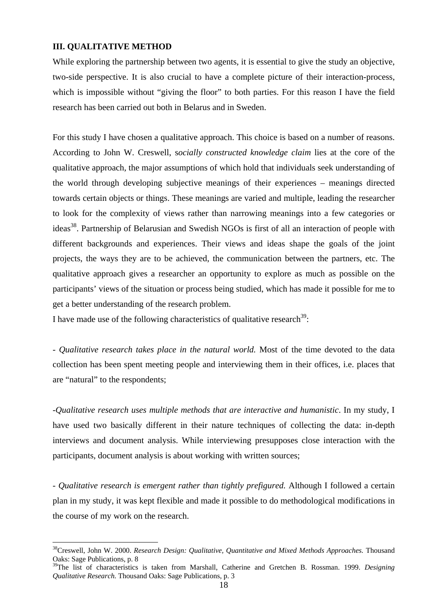#### **III. QUALITATIVE METHOD**

 $\overline{a}$ 

While exploring the partnership between two agents, it is essential to give the study an objective, two-side perspective. It is also crucial to have a complete picture of their interaction-process, which is impossible without "giving the floor" to both parties. For this reason I have the field research has been carried out both in Belarus and in Sweden.

For this study I have chosen a qualitative approach. This choice is based on a number of reasons. According to John W. Creswell, s*ocially constructed knowledge claim* lies at the core of the qualitative approach, the major assumptions of which hold that individuals seek understanding of the world through developing subjective meanings of their experiences – meanings directed towards certain objects or things. These meanings are varied and multiple, leading the researcher to look for the complexity of views rather than narrowing meanings into a few categories or ideas<sup>38</sup>. Partnership of Belarusian and Swedish NGOs is first of all an interaction of people with different backgrounds and experiences. Their views and ideas shape the goals of the joint projects, the ways they are to be achieved, the communication between the partners, etc. The qualitative approach gives a researcher an opportunity to explore as much as possible on the participants' views of the situation or process being studied, which has made it possible for me to get a better understanding of the research problem.

I have made use of the following characteristics of qualitative research<sup>39</sup>:

- *Qualitative research takes place in the natural world.* Most of the time devoted to the data collection has been spent meeting people and interviewing them in their offices, i.e. places that are "natural" to the respondents;

-*Qualitative research uses multiple methods that are interactive and humanistic*. In my study, I have used two basically different in their nature techniques of collecting the data: in-depth interviews and document analysis. While interviewing presupposes close interaction with the participants, document analysis is about working with written sources;

- *Qualitative research is emergent rather than tightly prefigured.* Although I followed a certain plan in my study, it was kept flexible and made it possible to do methodological modifications in the course of my work on the research.

<sup>38</sup>Creswell, John W. 2000. *Research Design: Qualitative, Quantitative and Mixed Methods Approaches.* Thousand Oaks: Sage Publications, p. 8

<sup>&</sup>lt;sup>39</sup>The list of characteristics is taken from Marshall, Catherine and Gretchen B. Rossman. 1999. *Designing Qualitative Research.* Thousand Oaks: Sage Publications, p. 3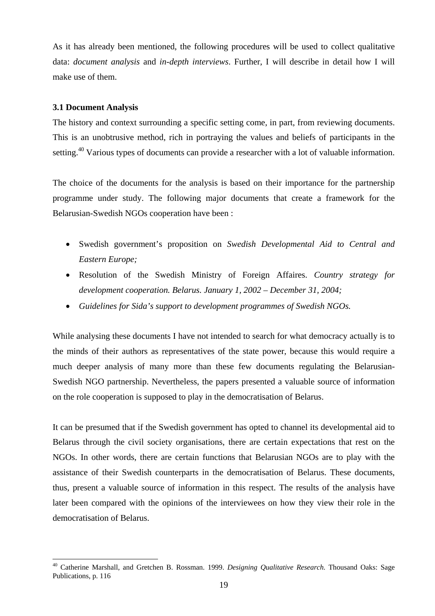As it has already been mentioned, the following procedures will be used to collect qualitative data: *document analysis* and *in-depth interviews*. Further, I will describe in detail how I will make use of them.

## **3.1 Document Analysis**

 $\overline{a}$ 

The history and context surrounding a specific setting come, in part, from reviewing documents. This is an unobtrusive method, rich in portraying the values and beliefs of participants in the setting.<sup>40</sup> Various types of documents can provide a researcher with a lot of valuable information.

The choice of the documents for the analysis is based on their importance for the partnership programme under study. The following major documents that create a framework for the Belarusian-Swedish NGOs cooperation have been :

- Swedish government's proposition on *Swedish Developmental Aid to Central and Eastern Europe;*
- Resolution of the Swedish Ministry of Foreign Affaires. *Country strategy for development cooperation. Belarus. January 1, 2002 – December 31, 2004;*
- *Guidelines for Sida's support to development programmes of Swedish NGOs.*

While analysing these documents I have not intended to search for what democracy actually is to the minds of their authors as representatives of the state power, because this would require a much deeper analysis of many more than these few documents regulating the Belarusian-Swedish NGO partnership. Nevertheless, the papers presented a valuable source of information on the role cooperation is supposed to play in the democratisation of Belarus.

It can be presumed that if the Swedish government has opted to channel its developmental aid to Belarus through the civil society organisations, there are certain expectations that rest on the NGOs. In other words, there are certain functions that Belarusian NGOs are to play with the assistance of their Swedish counterparts in the democratisation of Belarus. These documents, thus, present a valuable source of information in this respect. The results of the analysis have later been compared with the opinions of the interviewees on how they view their role in the democratisation of Belarus.

<sup>40</sup> Catherine Marshall, and Gretchen B. Rossman. 1999. *Designing Qualitative Research.* Thousand Oaks: Sage Publications, p. 116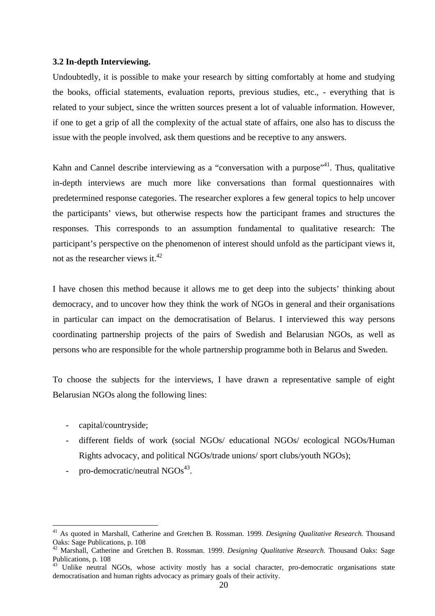#### **3.2 In-depth Interviewing.**

Undoubtedly, it is possible to make your research by sitting comfortably at home and studying the books, official statements, evaluation reports, previous studies, etc., - everything that is related to your subject, since the written sources present a lot of valuable information. However, if one to get a grip of all the complexity of the actual state of affairs, one also has to discuss the issue with the people involved, ask them questions and be receptive to any answers.

Kahn and Cannel describe interviewing as a "conversation with a purpose"<sup>41</sup>. Thus, qualitative in-depth interviews are much more like conversations than formal questionnaires with predetermined response categories. The researcher explores a few general topics to help uncover the participants' views, but otherwise respects how the participant frames and structures the responses. This corresponds to an assumption fundamental to qualitative research: The participant's perspective on the phenomenon of interest should unfold as the participant views it, not as the researcher views it. $42$ 

I have chosen this method because it allows me to get deep into the subjects' thinking about democracy, and to uncover how they think the work of NGOs in general and their organisations in particular can impact on the democratisation of Belarus. I interviewed this way persons coordinating partnership projects of the pairs of Swedish and Belarusian NGOs, as well as persons who are responsible for the whole partnership programme both in Belarus and Sweden.

To choose the subjects for the interviews, I have drawn a representative sample of eight Belarusian NGOs along the following lines:

- capital/countryside;

- different fields of work (social NGOs/ educational NGOs/ ecological NGOs/Human Rights advocacy, and political NGOs/trade unions/ sport clubs/youth NGOs);
- pro-democratic/neutral  $NGOs<sup>43</sup>$ .

<sup>41</sup> As quoted in Marshall, Catherine and Gretchen B. Rossman. 1999. *Designing Qualitative Research.* Thousand Oaks: Sage Publications, p. 108

<sup>42</sup> Marshall, Catherine and Gretchen B. Rossman. 1999. *Designing Qualitative Research.* Thousand Oaks: Sage Publications, p. 108

<sup>&</sup>lt;sup>43</sup> Unlike neutral NGOs, whose activity mostly has a social character, pro-democratic organisations state democratisation and human rights advocacy as primary goals of their activity.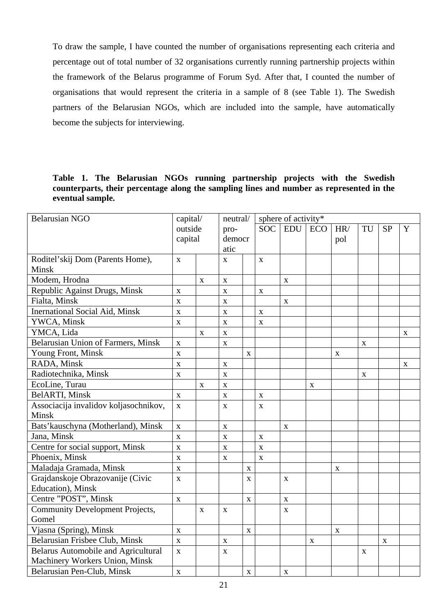To draw the sample, I have counted the number of organisations representing each criteria and percentage out of total number of 32 organisations currently running partnership projects within the framework of the Belarus programme of Forum Syd. After that, I counted the number of organisations that would represent the criteria in a sample of 8 (see Table 1). The Swedish partners of the Belarusian NGOs, which are included into the sample, have automatically become the subjects for interviewing.

**Table 1. The Belarusian NGOs running partnership projects with the Swedish counterparts, their percentage along the sampling lines and number as represented in the eventual sample.** 

| <b>Belarusian NGO</b>                      |                           | capital/     |             | neutral/    |              | sphere of activity* |             |             |             |           |             |  |  |
|--------------------------------------------|---------------------------|--------------|-------------|-------------|--------------|---------------------|-------------|-------------|-------------|-----------|-------------|--|--|
|                                            |                           | outside      |             | pro-        |              | EDU                 | ECO         | HR/         | TU          | <b>SP</b> | $\mathbf Y$ |  |  |
|                                            |                           | capital      |             | democr      |              |                     |             | pol         |             |           |             |  |  |
|                                            |                           |              | atic        |             |              |                     |             |             |             |           |             |  |  |
| Roditel'skij Dom (Parents Home),           |                           |              | $\mathbf X$ |             | $\mathbf{X}$ |                     |             |             |             |           |             |  |  |
| Minsk                                      |                           |              |             |             |              |                     |             |             |             |           |             |  |  |
| Modem, Hrodna                              |                           | X            | X           |             |              | X                   |             |             |             |           |             |  |  |
| Republic Against Drugs, Minsk              |                           |              | $\mathbf X$ |             | $\mathbf X$  |                     |             |             |             |           |             |  |  |
| Fialta, Minsk                              |                           |              | $\mathbf X$ |             |              | $\mathbf{X}$        |             |             |             |           |             |  |  |
| <b>Inernational Social Aid, Minsk</b>      | $\mathbf X$               |              | $\mathbf X$ |             | $\mathbf X$  |                     |             |             |             |           |             |  |  |
| YWCA, Minsk                                | X                         |              | $\mathbf X$ |             | X            |                     |             |             |             |           |             |  |  |
| YMCA, Lida                                 |                           | $\mathbf X$  | $\mathbf X$ |             |              |                     |             |             |             |           | X           |  |  |
| Belarusian Union of Farmers, Minsk         | $\mathbf X$               |              | $\mathbf X$ |             |              |                     |             |             | $\mathbf X$ |           |             |  |  |
| Young Front, Minsk                         | $\mathbf X$               |              |             | $\mathbf X$ |              |                     |             | $\mathbf X$ |             |           |             |  |  |
| RADA, Minsk                                |                           |              | $\mathbf X$ |             |              |                     |             |             |             |           | X           |  |  |
| Radiotechnika, Minsk                       | $\boldsymbol{\mathrm{X}}$ |              | $\mathbf X$ |             |              |                     |             |             | X           |           |             |  |  |
| EcoLine, Turau                             |                           | $\mathbf X$  | $\mathbf X$ |             |              |                     | $\mathbf X$ |             |             |           |             |  |  |
| BelARTI, Minsk                             | $\mathbf X$               |              | $\mathbf X$ |             | $\mathbf X$  |                     |             |             |             |           |             |  |  |
| Associacija invalidov koljasochnikov,      |                           |              | $\mathbf X$ |             | $\mathbf X$  |                     |             |             |             |           |             |  |  |
| Minsk                                      |                           |              |             |             |              |                     |             |             |             |           |             |  |  |
| Bats' kauschyna (Motherland), Minsk        |                           |              | $\mathbf X$ |             |              | $\mathbf X$         |             |             |             |           |             |  |  |
| Jana, Minsk                                |                           |              | $\bar{X}$   |             | $\mathbf X$  |                     |             |             |             |           |             |  |  |
| Centre for social support, Minsk           |                           |              | $\mathbf X$ |             | $\mathbf X$  |                     |             |             |             |           |             |  |  |
| Phoenix, Minsk                             | $\mathbf X$               |              | $\mathbf X$ |             | $\mathbf X$  |                     |             |             |             |           |             |  |  |
| Maladaja Gramada, Minsk                    |                           |              |             | X           |              |                     |             | $\mathbf X$ |             |           |             |  |  |
| Grajdanskoje Obrazovanije (Civic           |                           |              |             | X           |              | $\mathbf X$         |             |             |             |           |             |  |  |
| Education), Minsk                          |                           |              |             |             |              |                     |             |             |             |           |             |  |  |
| Centre "POST", Minsk                       |                           |              |             | X           |              | $\mathbf X$         |             |             |             |           |             |  |  |
| Community Development Projects,            |                           | $\mathbf{X}$ | $\mathbf X$ |             |              | X                   |             |             |             |           |             |  |  |
| Gomel                                      |                           |              |             |             |              |                     |             |             |             |           |             |  |  |
| Vjasna (Spring), Minsk                     |                           |              |             | $\mathbf X$ |              |                     |             | $\mathbf X$ |             |           |             |  |  |
| Belarusian Frisbee Club, Minsk             |                           |              | $\mathbf X$ |             |              |                     | X           |             |             | X         |             |  |  |
| <b>Belarus Automobile and Agricultural</b> |                           |              | $\mathbf X$ |             |              |                     |             |             | $\mathbf X$ |           |             |  |  |
| Machinery Workers Union, Minsk             |                           |              |             |             |              |                     |             |             |             |           |             |  |  |
| Belarusian Pen-Club, Minsk                 |                           |              |             | $\mathbf X$ |              | $\mathbf X$         |             |             |             |           |             |  |  |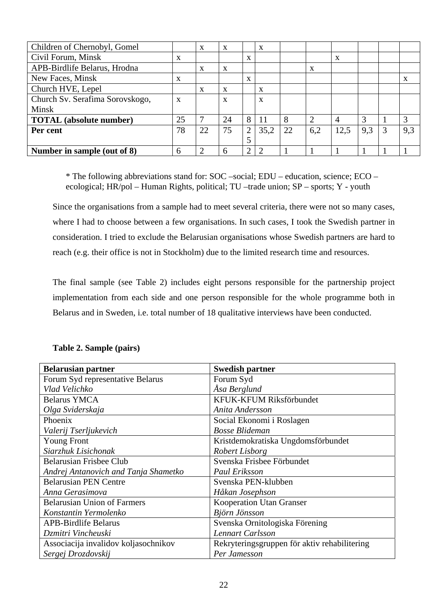| Children of Chernobyl, Gomel    |    | X  | $\mathbf{x}$              |                | $\mathbf{X}$              |    |     |      |     |   |             |
|---------------------------------|----|----|---------------------------|----------------|---------------------------|----|-----|------|-----|---|-------------|
| Civil Forum, Minsk              |    |    |                           | X              |                           |    |     | X    |     |   |             |
| APB-Birdlife Belarus, Hrodna    |    | X  | $\boldsymbol{\mathrm{X}}$ |                |                           |    | X   |      |     |   |             |
| New Faces, Minsk                |    |    |                           | X              |                           |    |     |      |     |   | $\mathbf X$ |
| Church HVE, Lepel               |    | X  | $\mathbf{x}$              |                | $\mathbf x$               |    |     |      |     |   |             |
| Church Sv. Serafima Sorovskogo, | X  |    | X                         |                | $\boldsymbol{\mathrm{X}}$ |    |     |      |     |   |             |
| Minsk                           |    |    |                           |                |                           |    |     |      |     |   |             |
| <b>TOTAL</b> (absolute number)  | 25 |    | 24                        | 8              | 11                        | 8  | 2   |      | 3   |   |             |
| Per cent                        | 78 | 22 | 75                        | 2              | 35,2                      | 22 | 6,2 | 12.5 | 9,3 | 3 | 9.3         |
|                                 |    |    |                           |                |                           |    |     |      |     |   |             |
| Number in sample (out of 8)     |    | ി  | 6                         | $\overline{2}$ | $\mathcal{D}$             |    |     |      |     |   |             |

\* The following abbreviations stand for: SOC –social; EDU – education, science; ECO – ecological; HR/pol – Human Rights, political; TU –trade union; SP – sports; Y - youth

Since the organisations from a sample had to meet several criteria, there were not so many cases, where I had to choose between a few organisations. In such cases, I took the Swedish partner in consideration. I tried to exclude the Belarusian organisations whose Swedish partners are hard to reach (e.g. their office is not in Stockholm) due to the limited research time and resources.

The final sample (see Table 2) includes eight persons responsible for the partnership project implementation from each side and one person responsible for the whole programme both in Belarus and in Sweden, i.e. total number of 18 qualitative interviews have been conducted.

| <b>Belarusian partner</b>            | <b>Swedish partner</b>                       |  |  |  |  |  |  |  |
|--------------------------------------|----------------------------------------------|--|--|--|--|--|--|--|
| Forum Syd representative Belarus     | Forum Syd                                    |  |  |  |  |  |  |  |
| Vlad Velichko                        | Åsa Berglund                                 |  |  |  |  |  |  |  |
| <b>Belarus YMCA</b>                  | KFUK-KFUM Riksförbundet                      |  |  |  |  |  |  |  |
| Olga Sviderskaja                     | Anita Andersson                              |  |  |  |  |  |  |  |
| Phoenix                              | Social Ekonomi i Roslagen                    |  |  |  |  |  |  |  |
| Valerij Tserljukevich                | <b>Bosse Blideman</b>                        |  |  |  |  |  |  |  |
| <b>Young Front</b>                   | Kristdemokratiska Ungdomsförbundet           |  |  |  |  |  |  |  |
| Siarzhuk Lisichonak                  | Robert Lisborg                               |  |  |  |  |  |  |  |
| <b>Belarusian Frisbee Club</b>       | Svenska Frisbee Förbundet                    |  |  |  |  |  |  |  |
| Andrej Antanovich and Tanja Shametko | Paul Eriksson                                |  |  |  |  |  |  |  |
| <b>Belarusian PEN Centre</b>         | Svenska PEN-klubben                          |  |  |  |  |  |  |  |
| Anna Gerasimova                      | Håkan Josephson                              |  |  |  |  |  |  |  |
| <b>Belarusian Union of Farmers</b>   | Kooperation Utan Granser                     |  |  |  |  |  |  |  |
| Konstantin Yermolenko                | Björn Jönsson                                |  |  |  |  |  |  |  |
| <b>APB-Birdlife Belarus</b>          | Svenska Ornitologiska Förening               |  |  |  |  |  |  |  |
| Dzmitri Vincheuski                   | Lennart Carlsson                             |  |  |  |  |  |  |  |
| Associacija invalidov koljasochnikov | Rekryteringsgruppen för aktiv rehabilitering |  |  |  |  |  |  |  |
| Sergej Drozdovskij                   | Per Jamesson                                 |  |  |  |  |  |  |  |

# **Table 2. Sample (pairs)**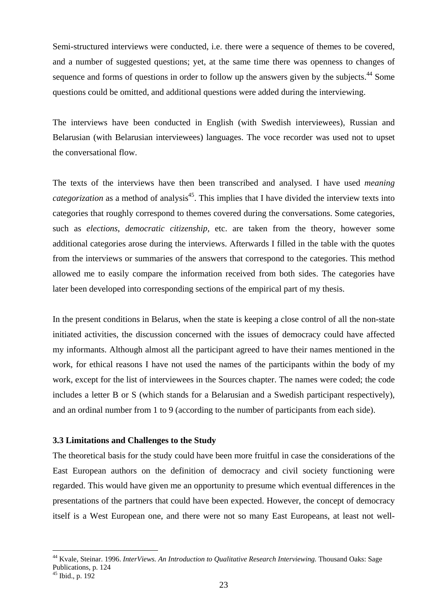Semi-structured interviews were conducted, i.e. there were a sequence of themes to be covered, and a number of suggested questions; yet, at the same time there was openness to changes of sequence and forms of questions in order to follow up the answers given by the subjects.<sup>44</sup> Some questions could be omitted, and additional questions were added during the interviewing.

The interviews have been conducted in English (with Swedish interviewees), Russian and Belarusian (with Belarusian interviewees) languages. The voce recorder was used not to upset the conversational flow.

The texts of the interviews have then been transcribed and analysed. I have used *meaning categorization* as a method of analysis<sup>45</sup>. This implies that I have divided the interview texts into categories that roughly correspond to themes covered during the conversations. Some categories, such as *elections*, *democratic citizenship,* etc. are taken from the theory, however some additional categories arose during the interviews. Afterwards I filled in the table with the quotes from the interviews or summaries of the answers that correspond to the categories. This method allowed me to easily compare the information received from both sides. The categories have later been developed into corresponding sections of the empirical part of my thesis.

In the present conditions in Belarus, when the state is keeping a close control of all the non-state initiated activities, the discussion concerned with the issues of democracy could have affected my informants. Although almost all the participant agreed to have their names mentioned in the work, for ethical reasons I have not used the names of the participants within the body of my work, except for the list of interviewees in the Sources chapter. The names were coded; the code includes a letter B or S (which stands for a Belarusian and a Swedish participant respectively), and an ordinal number from 1 to 9 (according to the number of participants from each side).

## **3.3 Limitations and Challenges to the Study**

The theoretical basis for the study could have been more fruitful in case the considerations of the East European authors on the definition of democracy and civil society functioning were regarded. This would have given me an opportunity to presume which eventual differences in the presentations of the partners that could have been expected. However, the concept of democracy itself is a West European one, and there were not so many East Europeans, at least not well-

<sup>&</sup>lt;sup>44</sup> Kvale, Steinar. 1996. *InterViews. An Introduction to Qualitative Research Interviewing*. Thousand Oaks: Sage Publications, p. 124

 $45$  Ibid., p. 192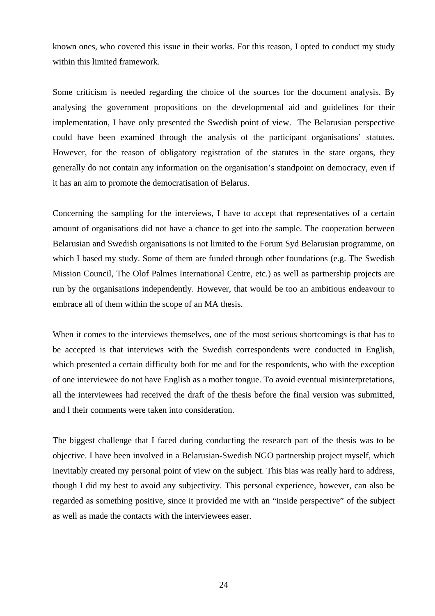known ones, who covered this issue in their works. For this reason, I opted to conduct my study within this limited framework.

Some criticism is needed regarding the choice of the sources for the document analysis. By analysing the government propositions on the developmental aid and guidelines for their implementation, I have only presented the Swedish point of view. The Belarusian perspective could have been examined through the analysis of the participant organisations' statutes. However, for the reason of obligatory registration of the statutes in the state organs, they generally do not contain any information on the organisation's standpoint on democracy, even if it has an aim to promote the democratisation of Belarus.

Concerning the sampling for the interviews, I have to accept that representatives of a certain amount of organisations did not have a chance to get into the sample. The cooperation between Belarusian and Swedish organisations is not limited to the Forum Syd Belarusian programme, on which I based my study. Some of them are funded through other foundations (e.g. The Swedish Mission Council, The Olof Palmes International Centre, etc.) as well as partnership projects are run by the organisations independently. However, that would be too an ambitious endeavour to embrace all of them within the scope of an MA thesis.

When it comes to the interviews themselves, one of the most serious shortcomings is that has to be accepted is that interviews with the Swedish correspondents were conducted in English, which presented a certain difficulty both for me and for the respondents, who with the exception of one interviewee do not have English as a mother tongue. To avoid eventual misinterpretations, all the interviewees had received the draft of the thesis before the final version was submitted, and l their comments were taken into consideration.

The biggest challenge that I faced during conducting the research part of the thesis was to be objective. I have been involved in a Belarusian-Swedish NGO partnership project myself, which inevitably created my personal point of view on the subject. This bias was really hard to address, though I did my best to avoid any subjectivity. This personal experience, however, can also be regarded as something positive, since it provided me with an "inside perspective" of the subject as well as made the contacts with the interviewees easer.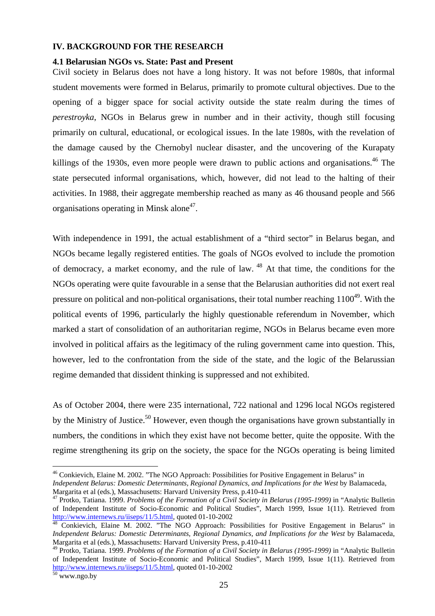#### **IV. BACKGROUND FOR THE RESEARCH**

#### **4.1 Belarusian NGOs vs. State: Past and Present**

Civil society in Belarus does not have a long history. It was not before 1980s, that informal student movements were formed in Belarus, primarily to promote cultural objectives. Due to the opening of a bigger space for social activity outside the state realm during the times of *perestroyka*, NGOs in Belarus grew in number and in their activity, though still focusing primarily on cultural, educational, or ecological issues. In the late 1980s, with the revelation of the damage caused by the Chernobyl nuclear disaster, and the uncovering of the Kurapaty killings of the 1930s, even more people were drawn to public actions and organisations.<sup>46</sup> The state persecuted informal organisations, which, however, did not lead to the halting of their activities. In 1988, their aggregate membership reached as many as 46 thousand people and 566 organisations operating in Minsk alone<sup>47</sup>.

With independence in 1991, the actual establishment of a "third sector" in Belarus began, and NGOs became legally registered entities. The goals of NGOs evolved to include the promotion of democracy, a market economy, and the rule of law.  $^{48}$  At that time, the conditions for the NGOs operating were quite favourable in a sense that the Belarusian authorities did not exert real pressure on political and non-political organisations, their total number reaching  $1100<sup>49</sup>$ . With the political events of 1996, particularly the highly questionable referendum in November, which marked a start of consolidation of an authoritarian regime, NGOs in Belarus became even more involved in political affairs as the legitimacy of the ruling government came into question. This, however, led to the confrontation from the side of the state, and the logic of the Belarussian regime demanded that dissident thinking is suppressed and not exhibited.

As of October 2004, there were 235 international, 722 national and 1296 local NGOs registered by the Ministry of Justice.<sup>50</sup> However, even though the organisations have grown substantially in numbers, the conditions in which they exist have not become better, quite the opposite. With the regime strengthening its grip on the society, the space for the NGOs operating is being limited

<sup>46</sup> Conkievich, Elaine M. 2002. "The NGO Approach: Possibilities for Positive Engagement in Belarus" in

*Independent Belarus: Domestic Determinants, Regional Dynamics, and Implications for the West by Balamaceda,* Margarita et al (eds.), Massachusetts: Harvard University Press, p.410-411

<sup>&</sup>lt;sup>47</sup> Protko, Tatiana. 1999. *Problems of the Formation of a Civil Society in Belarus (1995-1999)* in "Analytic Bulletin of Independent Institute of Socio-Economic and Political Studies", March 1999, Issue  $1(11)$ . Retrieved from http://www.internews.ru/iiseps/11/5.html, quoted 01-10-2002

 $\frac{1}{48}$  Conkievich, Elaine M. 2002. "The NGO Approach: Possibilities for Positive Engagement in Belarus" in *Independent Belarus: Domestic Determinants, Regional Dynamics, and Implications for the West by Balamaceda,* Margarita et al (eds.), Massachusetts: Harvard University Press, p.410-411

<sup>&</sup>lt;sup>49</sup> Protko, Tatiana. 1999. *Problems of the Formation of a Civil Society in Belarus (1995-1999)* in "Analytic Bulletin of Independent Institute of Socio-Economic and Political Studies", March 1999, Issue 1(11). Retrieved from http://www.internews.ru/iiseps/11/5.html, quoted 01-10-2002<br>50 www.ngo.by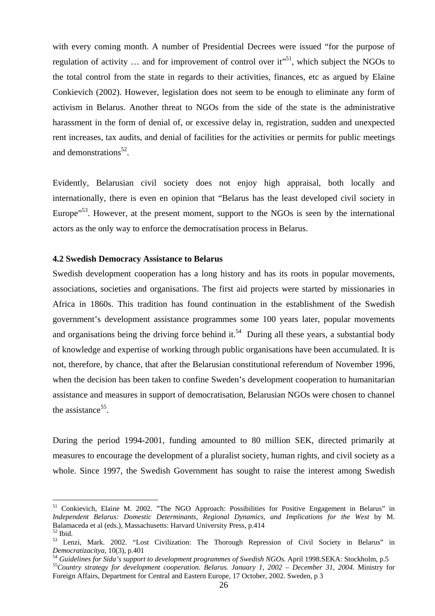with every coming month. A number of Presidential Decrees were issued "for the purpose of regulation of activity  $\ldots$  and for improvement of control over it<sup> $51$ </sup>, which subject the NGOs to the total control from the state in regards to their activities, finances, etc as argued by Elaine Conkievich (2002). However, legislation does not seem to be enough to eliminate any form of activism in Belarus. Another threat to NGOs from the side of the state is the administrative harassment in the form of denial of, or excessive delay in, registration, sudden and unexpected rent increases, tax audits, and denial of facilities for the activities or permits for public meetings and demonstrations $52$ .

Evidently, Belarusian civil society does not enjoy high appraisal, both locally and internationally, there is even en opinion that "Belarus has the least developed civil society in Europe<sup> $53$ </sup>. However, at the present moment, support to the NGOs is seen by the international actors as the only way to enforce the democratisation process in Belarus.

#### **4.2 Swedish Democracy Assistance to Belarus**

Swedish development cooperation has a long history and has its roots in popular movements, associations, societies and organisations. The first aid projects were started by missionaries in Africa in 1860s. This tradition has found continuation in the establishment of the Swedish government's development assistance programmes some 100 years later, popular movements and organisations being the driving force behind it.<sup>54</sup> During all these years, a substantial body of knowledge and expertise of working through public organisations have been accumulated. It is not, therefore, by chance, that after the Belarusian constitutional referendum of November 1996, when the decision has been taken to confine Sweden's development cooperation to humanitarian assistance and measures in support of democratisation, Belarusian NGOs were chosen to channel the assistance<sup>55</sup>.

During the period 1994-2001, funding amounted to 80 million SEK, directed primarily at measures to encourage the development of a pluralist society, human rights, and civil society as a whole. Since 1997, the Swedish Government has sought to raise the interest among Swedish

 $\overline{a}$ 

Foreign Affairs, Department for Central and Eastern Europe, 17 October, 2002. Sweden, p 3

<sup>&</sup>lt;sup>51</sup> Conkievich, Elaine M. 2002. "The NGO Approach: Possibilities for Positive Engagement in Belarus" in *Independent Belarus: Domestic Determinants, Regional Dynamics, and Implications for the West* by M. Balamaceda et al (eds.), Massachusetts: Harvard University Press, p.414 52 Ibid.

<sup>53</sup> Lenzi, Mark. 2002. "Lost Civilization: The Thorough Repression of Civil Society in Belarus" in Democratizacitya, 10(3), p.401<br><sup>54</sup> Guidelines for Sida's support to development programmes of Swedish NGOs. April 1998.SEKA: Stockholm, p.5<br><sup>55</sup> Country strategy for development cooperation. Belarus. January 1, 2002 – Dec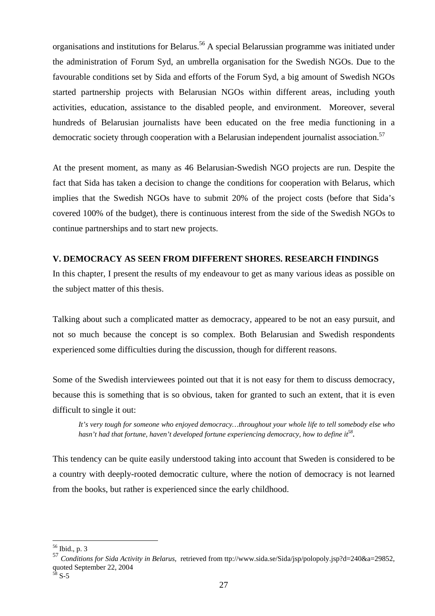organisations and institutions for Belarus.56 A special Belarussian programme was initiated under the administration of Forum Syd, an umbrella organisation for the Swedish NGOs. Due to the favourable conditions set by Sida and efforts of the Forum Syd, a big amount of Swedish NGOs started partnership projects with Belarusian NGOs within different areas, including youth activities, education, assistance to the disabled people, and environment. Moreover, several hundreds of Belarusian journalists have been educated on the free media functioning in a democratic society through cooperation with a Belarusian independent journalist association.<sup>57</sup>

At the present moment, as many as 46 Belarusian-Swedish NGO projects are run. Despite the fact that Sida has taken a decision to change the conditions for cooperation with Belarus, which implies that the Swedish NGOs have to submit 20% of the project costs (before that Sida's covered 100% of the budget), there is continuous interest from the side of the Swedish NGOs to continue partnerships and to start new projects.

# **V. DEMOCRACY AS SEEN FROM DIFFERENT SHORES. RESEARCH FINDINGS**

In this chapter, I present the results of my endeavour to get as many various ideas as possible on the subject matter of this thesis.

Talking about such a complicated matter as democracy, appeared to be not an easy pursuit, and not so much because the concept is so complex. Both Belarusian and Swedish respondents experienced some difficulties during the discussion, though for different reasons.

Some of the Swedish interviewees pointed out that it is not easy for them to discuss democracy, because this is something that is so obvious, taken for granted to such an extent, that it is even difficult to single it out:

*It's very tough for someone who enjoyed democracy…throughout your whole life to tell somebody else who*  hasn't had that fortune, haven't developed fortune experiencing democracy, how to define it<sup>58</sup>.

This tendency can be quite easily understood taking into account that Sweden is considered to be a country with deeply-rooted democratic culture, where the notion of democracy is not learned from the books, but rather is experienced since the early childhood.

<sup>56</sup> Ibid., p. 3

<sup>57</sup> *Conditions for Sida Activity in Belarus,* retrieved from ttp://www.sida.se/Sida/jsp/polopoly.jsp?d=240&a=29852, quoted September 22, 2004

 $\mathrm{s}$ -5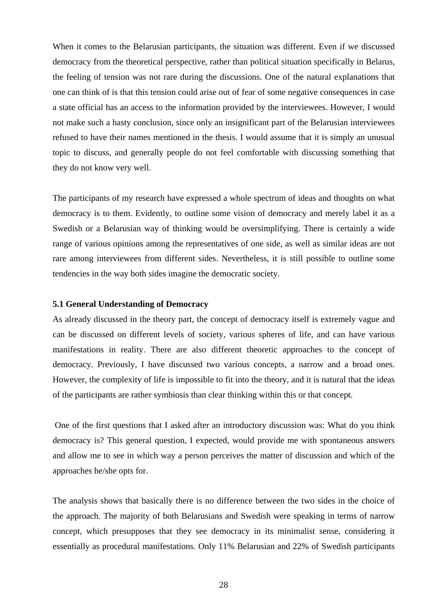When it comes to the Belarusian participants, the situation was different. Even if we discussed democracy from the theoretical perspective, rather than political situation specifically in Belarus, the feeling of tension was not rare during the discussions. One of the natural explanations that one can think of is that this tension could arise out of fear of some negative consequences in case a state official has an access to the information provided by the interviewees. However, I would not make such a hasty conclusion, since only an insignificant part of the Belarusian interviewees refused to have their names mentioned in the thesis. I would assume that it is simply an unusual topic to discuss, and generally people do not feel comfortable with discussing something that they do not know very well.

The participants of my research have expressed a whole spectrum of ideas and thoughts on what democracy is to them. Evidently, to outline some vision of democracy and merely label it as a Swedish or a Belarusian way of thinking would be oversimplifying. There is certainly a wide range of various opinions among the representatives of one side, as well as similar ideas are not rare among interviewees from different sides. Nevertheless, it is still possible to outline some tendencies in the way both sides imagine the democratic society.

#### **5.1 General Understanding of Democracy**

As already discussed in the theory part, the concept of democracy itself is extremely vague and can be discussed on different levels of society, various spheres of life, and can have various manifestations in reality. There are also different theoretic approaches to the concept of democracy. Previously, I have discussed two various concepts, a narrow and a broad ones. However, the complexity of life is impossible to fit into the theory, and it is natural that the ideas of the participants are rather symbiosis than clear thinking within this or that concept.

 One of the first questions that I asked after an introductory discussion was: What do you think democracy is? This general question, I expected, would provide me with spontaneous answers and allow me to see in which way a person perceives the matter of discussion and which of the approaches he/she opts for.

The analysis shows that basically there is no difference between the two sides in the choice of the approach. The majority of both Belarusians and Swedish were speaking in terms of narrow concept, which presupposes that they see democracy in its minimalist sense, considering it essentially as procedural manifestations. Only 11% Belarusian and 22% of Swedish participants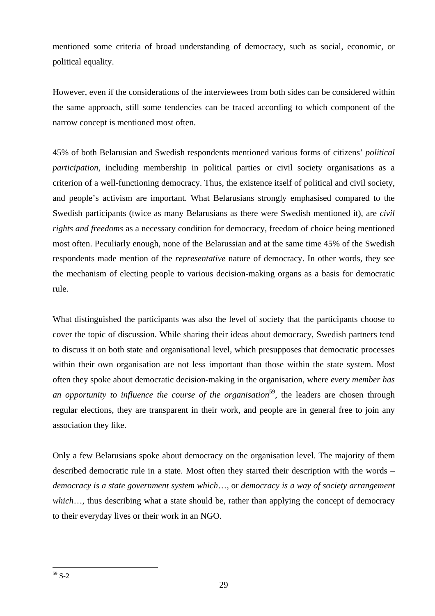mentioned some criteria of broad understanding of democracy, such as social, economic, or political equality.

However, even if the considerations of the interviewees from both sides can be considered within the same approach, still some tendencies can be traced according to which component of the narrow concept is mentioned most often.

45% of both Belarusian and Swedish respondents mentioned various forms of citizens' *political participation*, including membership in political parties or civil society organisations as a criterion of a well-functioning democracy. Thus, the existence itself of political and civil society, and people's activism are important. What Belarusians strongly emphasised compared to the Swedish participants (twice as many Belarusians as there were Swedish mentioned it), are *civil rights and freedoms* as a necessary condition for democracy, freedom of choice being mentioned most often. Peculiarly enough, none of the Belarussian and at the same time 45% of the Swedish respondents made mention of the *representative* nature of democracy. In other words, they see the mechanism of electing people to various decision-making organs as a basis for democratic rule.

What distinguished the participants was also the level of society that the participants choose to cover the topic of discussion. While sharing their ideas about democracy, Swedish partners tend to discuss it on both state and organisational level, which presupposes that democratic processes within their own organisation are not less important than those within the state system. Most often they spoke about democratic decision-making in the organisation, where *every member has an opportunity to influence the course of the organisation*<sup>59</sup>, the leaders are chosen through regular elections, they are transparent in their work, and people are in general free to join any association they like.

Only a few Belarusians spoke about democracy on the organisation level. The majority of them described democratic rule in a state. Most often they started their description with the words – *democracy is a state government system which*…, or *democracy is a way of society arrangement which*…, thus describing what a state should be, rather than applying the concept of democracy to their everyday lives or their work in an NGO.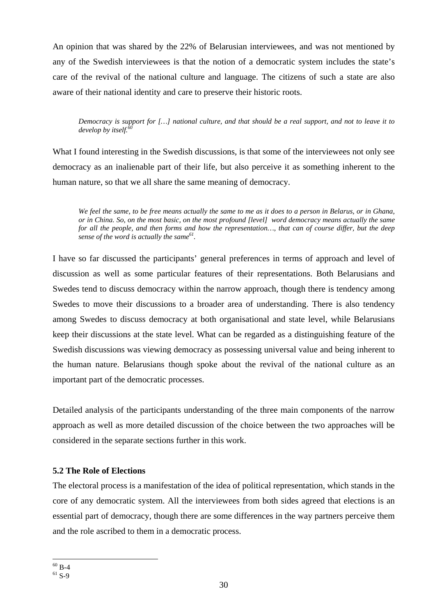An opinion that was shared by the 22% of Belarusian interviewees, and was not mentioned by any of the Swedish interviewees is that the notion of a democratic system includes the state's care of the revival of the national culture and language. The citizens of such a state are also aware of their national identity and care to preserve their historic roots.

*Democracy is support for […] national culture, and that should be a real support, and not to leave it to develop by itself.*<sup>*6*</sup>

What I found interesting in the Swedish discussions, is that some of the interviewees not only see democracy as an inalienable part of their life, but also perceive it as something inherent to the human nature, so that we all share the same meaning of democracy.

*We feel the same, to be free means actually the same to me as it does to a person in Belarus, or in Ghana, or in China. So, on the most basic, on the most profound [level] word democracy means actually the same for all the people, and then forms and how the representation…, that can of course differ, but the deep sense of the word is actually the same61.*

I have so far discussed the participants' general preferences in terms of approach and level of discussion as well as some particular features of their representations. Both Belarusians and Swedes tend to discuss democracy within the narrow approach, though there is tendency among Swedes to move their discussions to a broader area of understanding. There is also tendency among Swedes to discuss democracy at both organisational and state level, while Belarusians keep their discussions at the state level. What can be regarded as a distinguishing feature of the Swedish discussions was viewing democracy as possessing universal value and being inherent to the human nature. Belarusians though spoke about the revival of the national culture as an important part of the democratic processes.

Detailed analysis of the participants understanding of the three main components of the narrow approach as well as more detailed discussion of the choice between the two approaches will be considered in the separate sections further in this work.

## **5.2 The Role of Elections**

The electoral process is a manifestation of the idea of political representation, which stands in the core of any democratic system. All the interviewees from both sides agreed that elections is an essential part of democracy, though there are some differences in the way partners perceive them and the role ascribed to them in a democratic process.

 $60$  B-4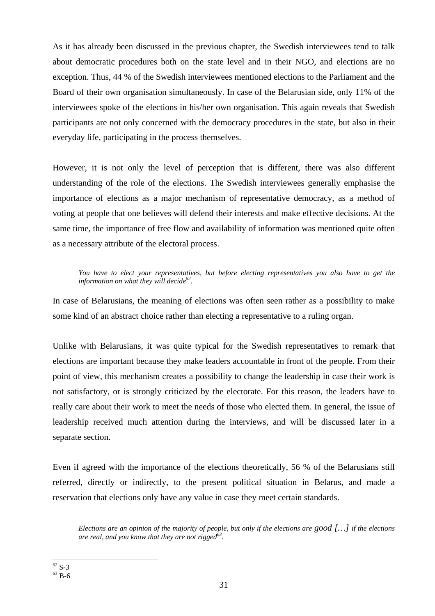As it has already been discussed in the previous chapter, the Swedish interviewees tend to talk about democratic procedures both on the state level and in their NGO, and elections are no exception. Thus, 44 % of the Swedish interviewees mentioned elections to the Parliament and the Board of their own organisation simultaneously. In case of the Belarusian side, only 11% of the interviewees spoke of the elections in his/her own organisation. This again reveals that Swedish participants are not only concerned with the democracy procedures in the state, but also in their everyday life, participating in the process themselves.

However, it is not only the level of perception that is different, there was also different understanding of the role of the elections. The Swedish interviewees generally emphasise the importance of elections as a major mechanism of representative democracy, as a method of voting at people that one believes will defend their interests and make effective decisions. At the same time, the importance of free flow and availability of information was mentioned quite often as a necessary attribute of the electoral process.

*You have to elect your representatives, but before electing representatives you also have to get the information on what they will decide62.*

In case of Belarusians, the meaning of elections was often seen rather as a possibility to make some kind of an abstract choice rather than electing a representative to a ruling organ.

Unlike with Belarusians, it was quite typical for the Swedish representatives to remark that elections are important because they make leaders accountable in front of the people. From their point of view, this mechanism creates a possibility to change the leadership in case their work is not satisfactory, or is strongly criticized by the electorate. For this reason, the leaders have to really care about their work to meet the needs of those who elected them. In general, the issue of leadership received much attention during the interviews, and will be discussed later in a separate section.

Even if agreed with the importance of the elections theoretically, 56 % of the Belarusians still referred, directly or indirectly, to the present political situation in Belarus, and made a reservation that elections only have any value in case they meet certain standards.

*Elections are an opinion of the majority of people, but only if the elections are good […] if the elections are real, and you know that they are not rigged63.*

 $\overline{a}$  $62$  S-3  $63\overline{B} - 6$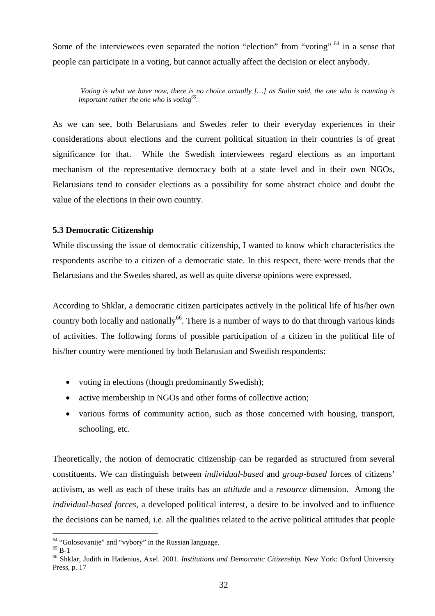Some of the interviewees even separated the notion "election" from "voting"  $64$  in a sense that people can participate in a voting, but cannot actually affect the decision or elect anybody.

*Voting is what we have now, there is no choice actually […] as Stalin said, the one who is counting is important rather the one who is voting65.* 

As we can see, both Belarusians and Swedes refer to their everyday experiences in their considerations about elections and the current political situation in their countries is of great significance for that. While the Swedish interviewees regard elections as an important mechanism of the representative democracy both at a state level and in their own NGOs, Belarusians tend to consider elections as a possibility for some abstract choice and doubt the value of the elections in their own country.

## **5.3 Democratic Citizenship**

While discussing the issue of democratic citizenship, I wanted to know which characteristics the respondents ascribe to a citizen of a democratic state. In this respect, there were trends that the Belarusians and the Swedes shared, as well as quite diverse opinions were expressed.

According to Shklar, a democratic citizen participates actively in the political life of his/her own country both locally and nationally<sup>66</sup>. There is a number of ways to do that through various kinds of activities. The following forms of possible participation of a citizen in the political life of his/her country were mentioned by both Belarusian and Swedish respondents:

- voting in elections (though predominantly Swedish);
- active membership in NGOs and other forms of collective action;
- various forms of community action, such as those concerned with housing, transport, schooling, etc.

Theoretically, the notion of democratic citizenship can be regarded as structured from several constituents. We can distinguish between *individual-based* and *group-based* forces of citizens' activism, as well as each of these traits has an *attitude* and a *resource* dimension. Among the *individual-based forces*, a developed political interest, a desire to be involved and to influence the decisions can be named, i.e. all the qualities related to the active political attitudes that people

 $64$  "Golosovanije" and "vybory" in the Russian language.

 $^{65}$  B-1

<sup>66</sup> Shklar, Judith in Hadenius, Axel. 2001. *Institutions and Democratic Citizenship.* New York: Oxford University Press, p. 17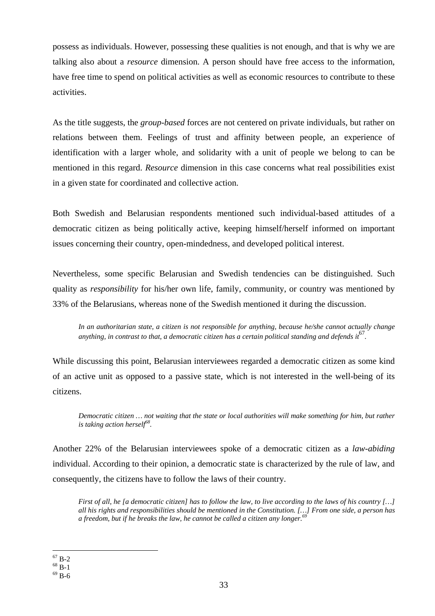possess as individuals. However, possessing these qualities is not enough, and that is why we are talking also about a *resource* dimension. A person should have free access to the information, have free time to spend on political activities as well as economic resources to contribute to these activities.

As the title suggests, the *group-based* forces are not centered on private individuals, but rather on relations between them. Feelings of trust and affinity between people, an experience of identification with a larger whole, and solidarity with a unit of people we belong to can be mentioned in this regard. *Resource* dimension in this case concerns what real possibilities exist in a given state for coordinated and collective action.

Both Swedish and Belarusian respondents mentioned such individual-based attitudes of a democratic citizen as being politically active, keeping himself/herself informed on important issues concerning their country, open-mindedness, and developed political interest.

Nevertheless, some specific Belarusian and Swedish tendencies can be distinguished. Such quality as *responsibility* for his/her own life, family, community, or country was mentioned by 33% of the Belarusians, whereas none of the Swedish mentioned it during the discussion.

*In an authoritarian state, a citizen is not responsible for anything, because he/she cannot actually change anything, in contrast to that, a democratic citizen has a certain political standing and defends it*<sup>67</sup>.

While discussing this point, Belarusian interviewees regarded a democratic citizen as some kind of an active unit as opposed to a passive state, which is not interested in the well-being of its citizens.

*Democratic citizen … not waiting that the state or local authorities will make something for him, but rather is taking action herself*<sup>68</sup>.

Another 22% of the Belarusian interviewees spoke of a democratic citizen as a *law-abiding* individual. According to their opinion, a democratic state is characterized by the rule of law, and consequently, the citizens have to follow the laws of their country.

*First of all, he [a democratic citizen] has to follow the law, to live according to the laws of his country […] all his rights and responsibilities should be mentioned in the Constitution. […] From one side, a person has*  a freedom, but if he breaks the law, he cannot be called a citizen any longer.<sup>6</sup>

 $69$  B-6

 $\overline{a}$  $^{67}$  B-2  $\,$ 

 $^{68}$  B-1  $\,$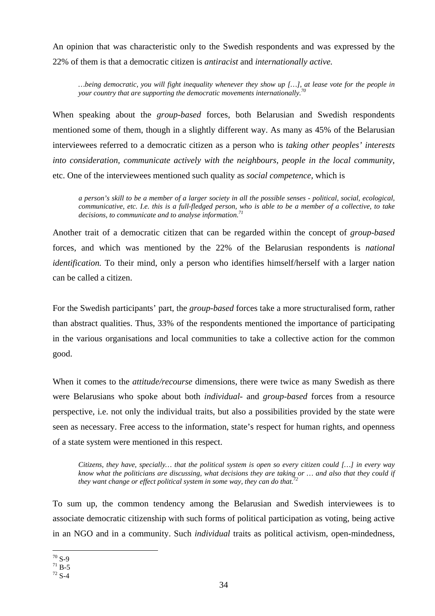An opinion that was characteristic only to the Swedish respondents and was expressed by the 22% of them is that a democratic citizen is *antiracist* and *internationally active.*

*…being democratic, you will fight inequality whenever they show up […], at lease vote for the people in your country that are supporting the democratic movements internationally.<sup>70</sup>*

When speaking about the *group-based* forces, both Belarusian and Swedish respondents mentioned some of them, though in a slightly different way. As many as 45% of the Belarusian interviewees referred to a democratic citizen as a person who is *taking other peoples' interests into consideration, communicate actively with the neighbours, people in the local community*, etc. One of the interviewees mentioned such quality as *social competence,* which is

*a person's skill to be a member of a larger society in all the possible senses - political, social, ecological, communicative, etc. I.e. this is a full-fledged person, who is able to be a member of a collective, to take*  decisions, to communicate and to analyse information.<sup>7</sup>

Another trait of a democratic citizen that can be regarded within the concept of *group-based* forces, and which was mentioned by the 22% of the Belarusian respondents is *national identification.* To their mind, only a person who identifies himself/herself with a larger nation can be called a citizen.

For the Swedish participants' part, the *group-based* forces take a more structuralised form, rather than abstract qualities. Thus, 33% of the respondents mentioned the importance of participating in the various organisations and local communities to take a collective action for the common good.

When it comes to the *attitude/recourse* dimensions, there were twice as many Swedish as there were Belarusians who spoke about both *individual-* and *group-based* forces from a resource perspective, i.e. not only the individual traits, but also a possibilities provided by the state were seen as necessary. Free access to the information, state's respect for human rights, and openness of a state system were mentioned in this respect.

*Citizens, they have, specially… that the political system is open so every citizen could […] in every way know what the politicians are discussing, what decisions they are taking or … and also that they could if they want change or effect political system in some way, they can do that.* 

To sum up, the common tendency among the Belarusian and Swedish interviewees is to associate democratic citizenship with such forms of political participation as voting, being active in an NGO and in a community. Such *individual* traits as political activism, open-mindedness,

 $\overline{a}$  $70 S-9$ 

 $71\ \text{B} - 5$ 

 $72 S-4$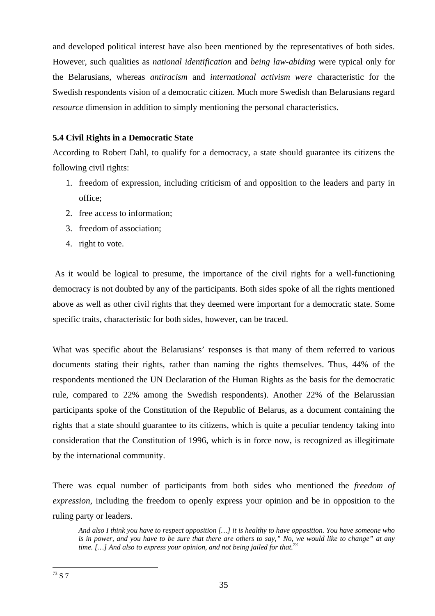and developed political interest have also been mentioned by the representatives of both sides. However, such qualities as *national identification* and *being law-abiding* were typical only for the Belarusians, whereas *antiracism* and *international activism were* characteristic for the Swedish respondents vision of a democratic citizen. Much more Swedish than Belarusians regard *resource* dimension in addition to simply mentioning the personal characteristics.

# **5.4 Civil Rights in a Democratic State**

According to Robert Dahl, to qualify for a democracy, a state should guarantee its citizens the following civil rights:

- 1. freedom of expression, including criticism of and opposition to the leaders and party in office;
- 2. free access to information;
- 3. freedom of association;
- 4. right to vote.

 As it would be logical to presume, the importance of the civil rights for a well-functioning democracy is not doubted by any of the participants. Both sides spoke of all the rights mentioned above as well as other civil rights that they deemed were important for a democratic state. Some specific traits, characteristic for both sides, however, can be traced.

What was specific about the Belarusians' responses is that many of them referred to various documents stating their rights, rather than naming the rights themselves. Thus, 44% of the respondents mentioned the UN Declaration of the Human Rights as the basis for the democratic rule, compared to 22% among the Swedish respondents). Another 22% of the Belarussian participants spoke of the Constitution of the Republic of Belarus, as a document containing the rights that a state should guarantee to its citizens, which is quite a peculiar tendency taking into consideration that the Constitution of 1996, which is in force now, is recognized as illegitimate by the international community.

There was equal number of participants from both sides who mentioned the *freedom of expression*, including the freedom to openly express your opinion and be in opposition to the ruling party or leaders.

*And also I think you have to respect opposition […] it is healthy to have opposition. You have someone who is in power, and you have to be sure that there are others to say," No, we would like to change" at any time. […] And also to express your opinion, and not being jailed for that.73*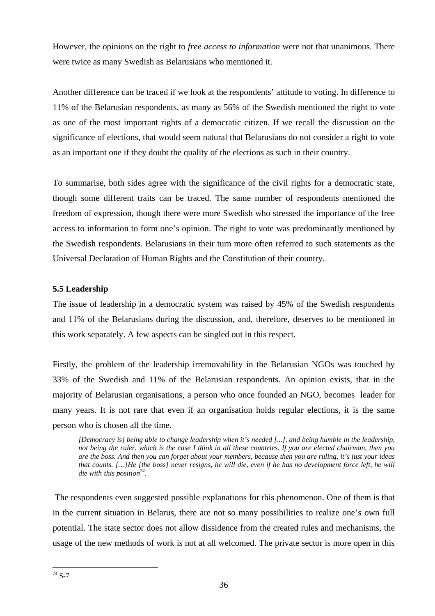However, the opinions on the right to *free access to information* were not that unanimous. There were twice as many Swedish as Belarusians who mentioned it.

Another difference can be traced if we look at the respondents' attitude to voting. In difference to 11% of the Belarusian respondents, as many as 56% of the Swedish mentioned the right to vote as one of the most important rights of a democratic citizen. If we recall the discussion on the significance of elections, that would seem natural that Belarusians do not consider a right to vote as an important one if they doubt the quality of the elections as such in their country.

To summarise, both sides agree with the significance of the civil rights for a democratic state, though some different traits can be traced. The same number of respondents mentioned the freedom of expression, though there were more Swedish who stressed the importance of the free access to information to form one's opinion. The right to vote was predominantly mentioned by the Swedish respondents. Belarusians in their turn more often referred to such statements as the Universal Declaration of Human Rights and the Constitution of their country.

# **5.5 Leadership**

The issue of leadership in a democratic system was raised by 45% of the Swedish respondents and 11% of the Belarusians during the discussion, and, therefore, deserves to be mentioned in this work separately. A few aspects can be singled out in this respect.

Firstly, the problem of the leadership irremovability in the Belarusian NGOs was touched by 33% of the Swedish and 11% of the Belarusian respondents. An opinion exists, that in the majority of Belarusian organisations, a person who once founded an NGO, becomes leader for many years. It is not rare that even if an organisation holds regular elections, it is the same person who is chosen all the time.

*[Democracy is] being able to change leadership when it's needed [...], and being humble in the leadership, not being the ruler, which is the case I think in all these countries. If you are elected chairman, then you are the boss. And then you can forget about your members, because then you are ruling, it's just your ideas that counts. […]He [the boss] never resigns, he will die, even if he has no development force left, he will die with this position74.* 

The respondents even suggested possible explanations for this phenomenon. One of them is that in the current situation in Belarus, there are not so many possibilities to realize one's own full potential. The state sector does not allow dissidence from the created rules and mechanisms, the usage of the new methods of work is not at all welcomed. The private sector is more open in this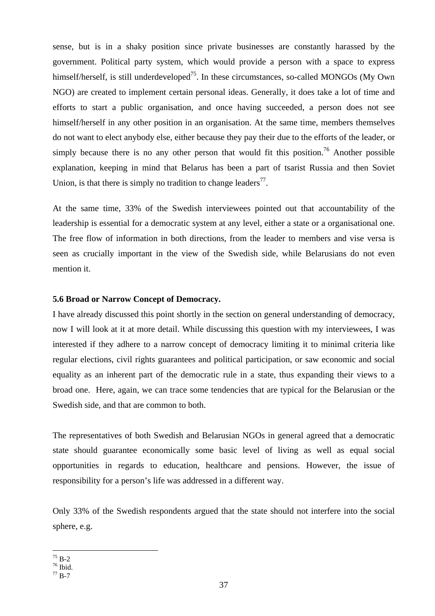sense, but is in a shaky position since private businesses are constantly harassed by the government. Political party system, which would provide a person with a space to express himself/herself, is still underdeveloped<sup>75</sup>. In these circumstances, so-called MONGOs (My Own NGO) are created to implement certain personal ideas. Generally, it does take a lot of time and efforts to start a public organisation, and once having succeeded, a person does not see himself/herself in any other position in an organisation. At the same time, members themselves do not want to elect anybody else, either because they pay their due to the efforts of the leader, or simply because there is no any other person that would fit this position.<sup>76</sup> Another possible explanation, keeping in mind that Belarus has been a part of tsarist Russia and then Soviet Union, is that there is simply no tradition to change leaders<sup>77</sup>.

At the same time, 33% of the Swedish interviewees pointed out that accountability of the leadership is essential for a democratic system at any level, either a state or a organisational one. The free flow of information in both directions, from the leader to members and vise versa is seen as crucially important in the view of the Swedish side, while Belarusians do not even mention it.

## **5.6 Broad or Narrow Concept of Democracy.**

I have already discussed this point shortly in the section on general understanding of democracy, now I will look at it at more detail. While discussing this question with my interviewees, I was interested if they adhere to a narrow concept of democracy limiting it to minimal criteria like regular elections, civil rights guarantees and political participation, or saw economic and social equality as an inherent part of the democratic rule in a state, thus expanding their views to a broad one. Here, again, we can trace some tendencies that are typical for the Belarusian or the Swedish side, and that are common to both.

The representatives of both Swedish and Belarusian NGOs in general agreed that a democratic state should guarantee economically some basic level of living as well as equal social opportunities in regards to education, healthcare and pensions. However, the issue of responsibility for a person's life was addressed in a different way.

Only 33% of the Swedish respondents argued that the state should not interfere into the social sphere, e.g.

 $\overline{a}$  $75 B-2$ 

 $76$  Ibid.

 $^{77}$  B-7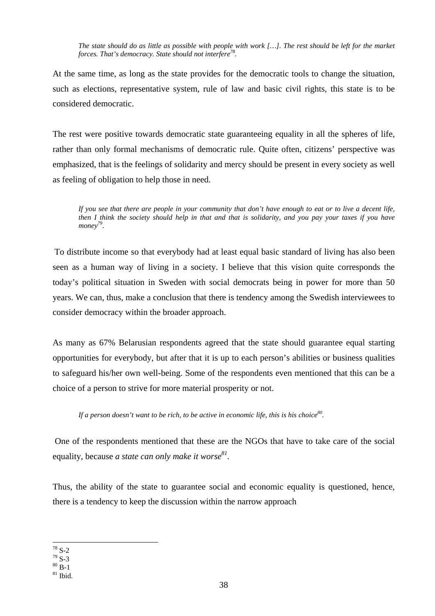*The state should do as little as possible with people with work […]. The rest should be left for the market forces. That's democracy. State should not interfere78.* 

At the same time, as long as the state provides for the democratic tools to change the situation, such as elections, representative system, rule of law and basic civil rights, this state is to be considered democratic.

The rest were positive towards democratic state guaranteeing equality in all the spheres of life, rather than only formal mechanisms of democratic rule. Quite often, citizens' perspective was emphasized, that is the feelings of solidarity and mercy should be present in every society as well as feeling of obligation to help those in need.

*If you see that there are people in your community that don't have enough to eat or to live a decent life, then I think the society should help in that and that is solidarity, and you pay your taxes if you have money79*.

To distribute income so that everybody had at least equal basic standard of living has also been seen as a human way of living in a society. I believe that this vision quite corresponds the today's political situation in Sweden with social democrats being in power for more than 50 years. We can, thus, make a conclusion that there is tendency among the Swedish interviewees to consider democracy within the broader approach.

As many as 67% Belarusian respondents agreed that the state should guarantee equal starting opportunities for everybody, but after that it is up to each person's abilities or business qualities to safeguard his/her own well-being. Some of the respondents even mentioned that this can be a choice of a person to strive for more material prosperity or not.

*If a person doesn't want to be rich, to be active in economic life, this is his choice*<sup>80</sup>.

One of the respondents mentioned that these are the NGOs that have to take care of the social equality, because *a state can only make it worse*<sup>81</sup>.

Thus, the ability of the state to guarantee social and economic equality is questioned, hence, there is a tendency to keep the discussion within the narrow approach

 $\overline{a}$  $78 S-2$ 

 $79 S-3$ 

 $80$  B-1

 $81$  Ibid.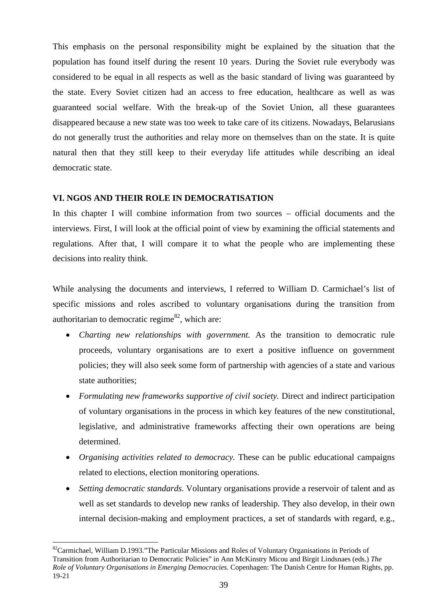This emphasis on the personal responsibility might be explained by the situation that the population has found itself during the resent 10 years. During the Soviet rule everybody was considered to be equal in all respects as well as the basic standard of living was guaranteed by the state. Every Soviet citizen had an access to free education, healthcare as well as was guaranteed social welfare. With the break-up of the Soviet Union, all these guarantees disappeared because a new state was too week to take care of its citizens. Nowadays, Belarusians do not generally trust the authorities and relay more on themselves than on the state. It is quite natural then that they still keep to their everyday life attitudes while describing an ideal democratic state.

# **VI. NGOS AND THEIR ROLE IN DEMOCRATISATION**

In this chapter I will combine information from two sources – official documents and the interviews. First, I will look at the official point of view by examining the official statements and regulations. After that, I will compare it to what the people who are implementing these decisions into reality think.

While analysing the documents and interviews, I referred to William D. Carmichael's list of specific missions and roles ascribed to voluntary organisations during the transition from authoritarian to democratic regime<sup>82</sup>, which are:

- *Charting new relationships with government.* As the transition to democratic rule proceeds, voluntary organisations are to exert a positive influence on government policies; they will also seek some form of partnership with agencies of a state and various state authorities;
- *Formulating new frameworks supportive of civil society.* Direct and indirect participation of voluntary organisations in the process in which key features of the new constitutional, legislative, and administrative frameworks affecting their own operations are being determined.
- *Organising activities related to democracy.* These can be public educational campaigns related to elections, election monitoring operations.
- *Setting democratic standards.* Voluntary organisations provide a reservoir of talent and as well as set standards to develop new ranks of leadership. They also develop, in their own internal decision-making and employment practices, a set of standards with regard, e.g.,

 $\overline{a}$ <sup>82</sup>Carmichael, William D.1993."The Particular Missions and Roles of Voluntary Organisations in Periods of Transition from Authoritarian to Democratic Policies" in Ann McKinstry Micou and Birgit Lindsnaes (eds.) *The Role of Voluntary Organisations in Emerging Democracies.* Copenhagen: The Danish Centre for Human Rights, pp. 19-21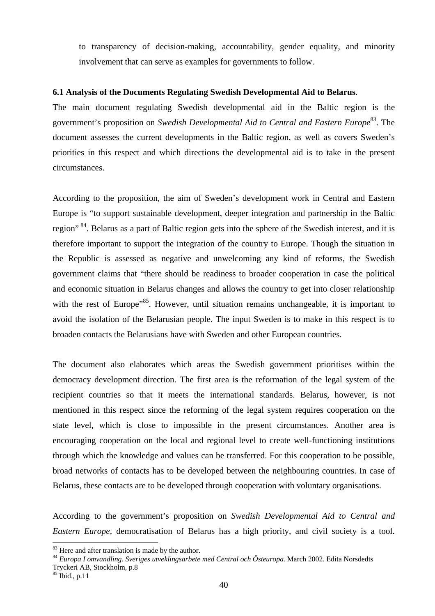to transparency of decision-making, accountability, gender equality, and minority involvement that can serve as examples for governments to follow.

#### **6.1 Analysis of the Documents Regulating Swedish Developmental Aid to Belarus**.

The main document regulating Swedish developmental aid in the Baltic region is the government's proposition on *Swedish Developmental Aid to Central and Eastern Europe*83. The document assesses the current developments in the Baltic region, as well as covers Sweden's priorities in this respect and which directions the developmental aid is to take in the present circumstances.

According to the proposition, the aim of Sweden's development work in Central and Eastern Europe is "to support sustainable development, deeper integration and partnership in the Baltic region" <sup>84</sup>. Belarus as a part of Baltic region gets into the sphere of the Swedish interest, and it is therefore important to support the integration of the country to Europe. Though the situation in the Republic is assessed as negative and unwelcoming any kind of reforms, the Swedish government claims that "there should be readiness to broader cooperation in case the political and economic situation in Belarus changes and allows the country to get into closer relationship with the rest of Europe<sup>85</sup>. However, until situation remains unchangeable, it is important to avoid the isolation of the Belarusian people. The input Sweden is to make in this respect is to broaden contacts the Belarusians have with Sweden and other European countries.

The document also elaborates which areas the Swedish government prioritises within the democracy development direction. The first area is the reformation of the legal system of the recipient countries so that it meets the international standards. Belarus, however, is not mentioned in this respect since the reforming of the legal system requires cooperation on the state level, which is close to impossible in the present circumstances. Another area is encouraging cooperation on the local and regional level to create well-functioning institutions through which the knowledge and values can be transferred. For this cooperation to be possible, broad networks of contacts has to be developed between the neighbouring countries. In case of Belarus, these contacts are to be developed through cooperation with voluntary organisations.

According to the government's proposition on *Swedish Developmental Aid to Central and Eastern Europe,* democratisation of Belarus has a high priority, and civil society is a tool.

<sup>&</sup>lt;sup>83</sup> Here and after translation is made by the author.

<sup>&</sup>lt;sup>84</sup> Europa I omvandling. Sveriges utveklingsarbete med Central och Östeuropa. March 2002. Edita Norsdedts

Tryckeri AB, Stockholm, p.8

 $85$  Ibid., p.11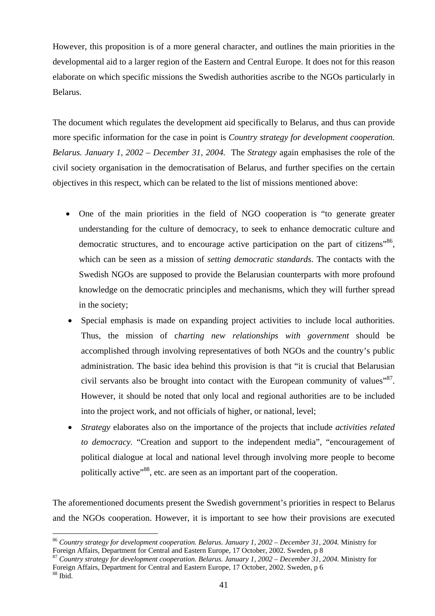However, this proposition is of a more general character, and outlines the main priorities in the developmental aid to a larger region of the Eastern and Central Europe. It does not for this reason elaborate on which specific missions the Swedish authorities ascribe to the NGOs particularly in Belarus.

The document which regulates the development aid specifically to Belarus, and thus can provide more specific information for the case in point is *Country strategy for development cooperation. Belarus. January 1, 2002 – December 31, 2004.* The *Strategy* again emphasises the role of the civil society organisation in the democratisation of Belarus, and further specifies on the certain objectives in this respect, which can be related to the list of missions mentioned above:

- One of the main priorities in the field of NGO cooperation is "to generate greater understanding for the culture of democracy, to seek to enhance democratic culture and democratic structures, and to encourage active participation on the part of citizens<sup>386</sup>. which can be seen as a mission of *setting democratic standards*. The contacts with the Swedish NGOs are supposed to provide the Belarusian counterparts with more profound knowledge on the democratic principles and mechanisms, which they will further spread in the society;
- Special emphasis is made on expanding project activities to include local authorities. Thus, the mission of c*harting new relationships with government* should be accomplished through involving representatives of both NGOs and the country's public administration. The basic idea behind this provision is that "it is crucial that Belarusian civil servants also be brought into contact with the European community of values"<sup>87</sup>. However, it should be noted that only local and regional authorities are to be included into the project work, and not officials of higher, or national, level;
- *Strategy* elaborates also on the importance of the projects that include *activities related to democracy.* "Creation and support to the independent media", "encouragement of political dialogue at local and national level through involving more people to become politically active"<sup>88</sup>, etc. are seen as an important part of the cooperation.

The aforementioned documents present the Swedish government's priorities in respect to Belarus and the NGOs cooperation. However, it is important to see how their provisions are executed

<sup>86</sup> *Country strategy for development cooperation. Belarus. January 1, 2002 – December 31, 2004.* Ministry for Foreign Affairs, Department for Central and Eastern Europe, 17 October, 2002. Sweden, p 8

<sup>87</sup> *Country strategy for development cooperation. Belarus. January 1, 2002 – December 31, 2004.* Ministry for Foreign Affairs, Department for Central and Eastern Europe, 17 October, 2002. Sweden, p 6  $88$  Ibid.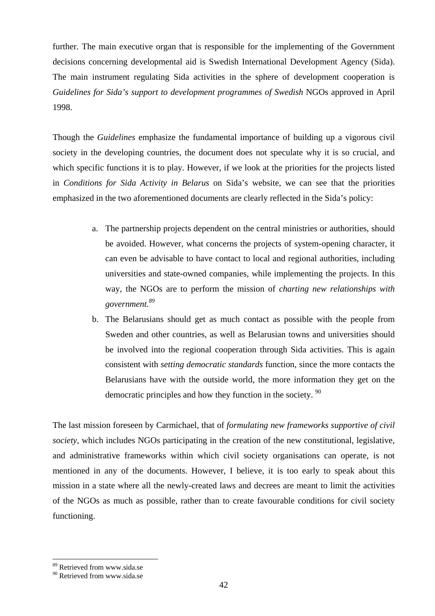further. The main executive organ that is responsible for the implementing of the Government decisions concerning developmental aid is Swedish International Development Agency (Sida). The main instrument regulating Sida activities in the sphere of development cooperation is *Guidelines for Sida's support to development programmes of Swedish* NGOs approved in April 1998.

Though the *Guidelines* emphasize the fundamental importance of building up a vigorous civil society in the developing countries, the document does not speculate why it is so crucial, and which specific functions it is to play. However, if we look at the priorities for the projects listed in *Conditions for Sida Activity in Belarus* on Sida's website, we can see that the priorities emphasized in the two aforementioned documents are clearly reflected in the Sida's policy:

- a. The partnership projects dependent on the central ministries or authorities, should be avoided. However, what concerns the projects of system-opening character, it can even be advisable to have contact to local and regional authorities, including universities and state-owned companies, while implementing the projects. In this way, the NGOs are to perform the mission of *charting new relationships with government.89*
- b. The Belarusians should get as much contact as possible with the people from Sweden and other countries, as well as Belarusian towns and universities should be involved into the regional cooperation through Sida activities. This is again consistent with *setting democratic standards* function, since the more contacts the Belarusians have with the outside world, the more information they get on the democratic principles and how they function in the society. <sup>90</sup>

The last mission foreseen by Carmichael, that of *formulating new frameworks supportive of civil society,* which includes NGOs participating in the creation of the new constitutional, legislative, and administrative frameworks within which civil society organisations can operate, is not mentioned in any of the documents. However, I believe, it is too early to speak about this mission in a state where all the newly-created laws and decrees are meant to limit the activities of the NGOs as much as possible, rather than to create favourable conditions for civil society functioning.

<sup>89</sup> Retrieved from www.sida.se

<sup>90</sup> Retrieved from www.sida.se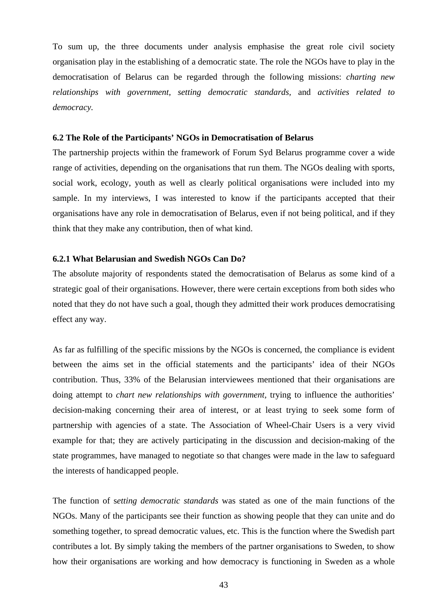To sum up, the three documents under analysis emphasise the great role civil society organisation play in the establishing of a democratic state. The role the NGOs have to play in the democratisation of Belarus can be regarded through the following missions: *charting new relationships with government, setting democratic standards,* and *activities related to democracy.* 

#### **6.2 The Role of the Participants' NGOs in Democratisation of Belarus**

The partnership projects within the framework of Forum Syd Belarus programme cover a wide range of activities, depending on the organisations that run them. The NGOs dealing with sports, social work, ecology, youth as well as clearly political organisations were included into my sample. In my interviews, I was interested to know if the participants accepted that their organisations have any role in democratisation of Belarus, even if not being political, and if they think that they make any contribution, then of what kind.

#### **6.2.1 What Belarusian and Swedish NGOs Can Do?**

The absolute majority of respondents stated the democratisation of Belarus as some kind of a strategic goal of their organisations. However, there were certain exceptions from both sides who noted that they do not have such a goal, though they admitted their work produces democratising effect any way.

As far as fulfilling of the specific missions by the NGOs is concerned, the compliance is evident between the aims set in the official statements and the participants' idea of their NGOs contribution. Thus, 33% of the Belarusian interviewees mentioned that their organisations are doing attempt to *chart new relationships with government*, trying to influence the authorities' decision-making concerning their area of interest, or at least trying to seek some form of partnership with agencies of a state. The Association of Wheel-Chair Users is a very vivid example for that; they are actively participating in the discussion and decision-making of the state programmes, have managed to negotiate so that changes were made in the law to safeguard the interests of handicapped people.

The function of s*etting democratic standards* was stated as one of the main functions of the NGOs. Many of the participants see their function as showing people that they can unite and do something together, to spread democratic values, etc. This is the function where the Swedish part contributes a lot. By simply taking the members of the partner organisations to Sweden, to show how their organisations are working and how democracy is functioning in Sweden as a whole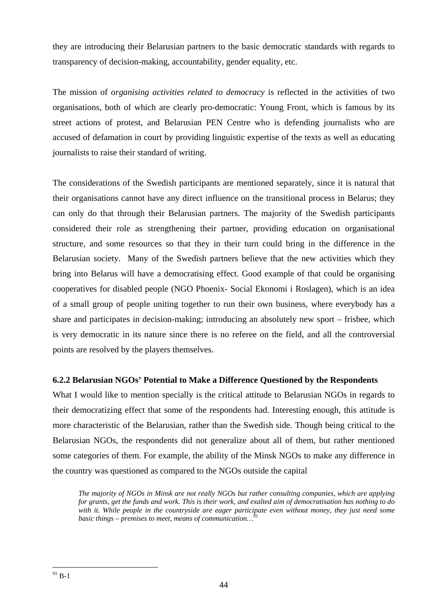they are introducing their Belarusian partners to the basic democratic standards with regards to transparency of decision-making, accountability, gender equality, etc.

The mission of *organising activities related to democracy* is reflected in the activities of two organisations, both of which are clearly pro-democratic: Young Front, which is famous by its street actions of protest, and Belarusian PEN Centre who is defending journalists who are accused of defamation in court by providing linguistic expertise of the texts as well as educating journalists to raise their standard of writing.

The considerations of the Swedish participants are mentioned separately, since it is natural that their organisations cannot have any direct influence on the transitional process in Belarus; they can only do that through their Belarusian partners. The majority of the Swedish participants considered their role as strengthening their partner, providing education on organisational structure, and some resources so that they in their turn could bring in the difference in the Belarusian society. Many of the Swedish partners believe that the new activities which they bring into Belarus will have a democratising effect. Good example of that could be organising cooperatives for disabled people (NGO Phoenix- Social Ekonomi i Roslagen), which is an idea of a small group of people uniting together to run their own business, where everybody has a share and participates in decision-making; introducing an absolutely new sport – frisbee, which is very democratic in its nature since there is no referee on the field, and all the controversial points are resolved by the players themselves.

# **6.2.2 Belarusian NGOs' Potential to Make a Difference Questioned by the Respondents**

What I would like to mention specially is the critical attitude to Belarusian NGOs in regards to their democratizing effect that some of the respondents had. Interesting enough, this attitude is more characteristic of the Belarusian, rather than the Swedish side. Though being critical to the Belarusian NGOs, the respondents did not generalize about all of them, but rather mentioned some categories of them. For example, the ability of the Minsk NGOs to make any difference in the country was questioned as compared to the NGOs outside the capital

*The majority of NGOs in Minsk are not really NGOs but rather consulting companies, which are applying for grants, get the funds and work. This is their work, and exalted aim of democratisation has nothing to do with it. While people in the countryside are eager participate even without money, they just need some*  basic things – premises to meet, means of communication...<sup>3</sup>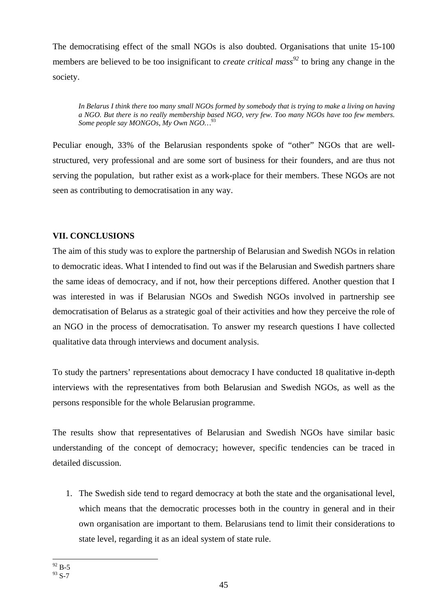The democratising effect of the small NGOs is also doubted. Organisations that unite 15-100 members are believed to be too insignificant to *create critical mass*<sup>92</sup> to bring any change in the society.

*In Belarus I think there too many small NGOs formed by somebody that is trying to make a living on having a NGO. But there is no really membership based NGO, very few. Too many NGOs have too few members. Some people say MONGOs, My Own NGO…*<sup>93</sup>

Peculiar enough, 33% of the Belarusian respondents spoke of "other" NGOs that are wellstructured, very professional and are some sort of business for their founders, and are thus not serving the population, but rather exist as a work-place for their members. These NGOs are not seen as contributing to democratisation in any way.

# **VII. CONCLUSIONS**

The aim of this study was to explore the partnership of Belarusian and Swedish NGOs in relation to democratic ideas. What I intended to find out was if the Belarusian and Swedish partners share the same ideas of democracy, and if not, how their perceptions differed. Another question that I was interested in was if Belarusian NGOs and Swedish NGOs involved in partnership see democratisation of Belarus as a strategic goal of their activities and how they perceive the role of an NGO in the process of democratisation. To answer my research questions I have collected qualitative data through interviews and document analysis.

To study the partners' representations about democracy I have conducted 18 qualitative in-depth interviews with the representatives from both Belarusian and Swedish NGOs, as well as the persons responsible for the whole Belarusian programme.

The results show that representatives of Belarusian and Swedish NGOs have similar basic understanding of the concept of democracy; however, specific tendencies can be traced in detailed discussion.

1. The Swedish side tend to regard democracy at both the state and the organisational level, which means that the democratic processes both in the country in general and in their own organisation are important to them. Belarusians tend to limit their considerations to state level, regarding it as an ideal system of state rule.

 $\overline{a}$  $92 B-5$ 93 S-7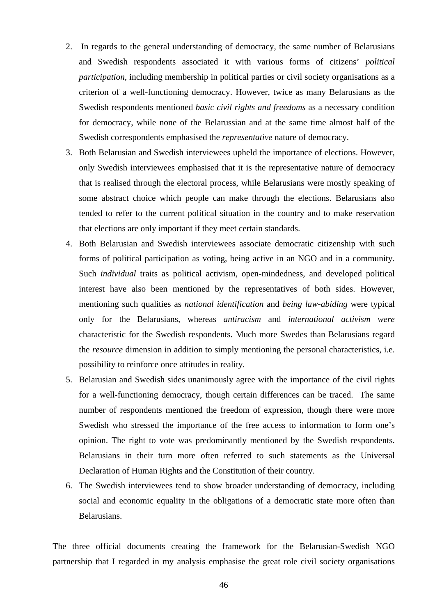- 2. In regards to the general understanding of democracy, the same number of Belarusians and Swedish respondents associated it with various forms of citizens' *political participation*, including membership in political parties or civil society organisations as a criterion of a well-functioning democracy. However, twice as many Belarusians as the Swedish respondents mentioned *basic civil rights and freedoms* as a necessary condition for democracy, while none of the Belarussian and at the same time almost half of the Swedish correspondents emphasised the *representative* nature of democracy.
- 3. Both Belarusian and Swedish interviewees upheld the importance of elections. However, only Swedish interviewees emphasised that it is the representative nature of democracy that is realised through the electoral process, while Belarusians were mostly speaking of some abstract choice which people can make through the elections. Belarusians also tended to refer to the current political situation in the country and to make reservation that elections are only important if they meet certain standards.
- 4. Both Belarusian and Swedish interviewees associate democratic citizenship with such forms of political participation as voting, being active in an NGO and in a community. Such *individual* traits as political activism, open-mindedness, and developed political interest have also been mentioned by the representatives of both sides. However, mentioning such qualities as *national identification* and *being law-abiding* were typical only for the Belarusians, whereas *antiracism* and *international activism were* characteristic for the Swedish respondents. Much more Swedes than Belarusians regard the *resource* dimension in addition to simply mentioning the personal characteristics, i.e. possibility to reinforce once attitudes in reality.
- 5. Belarusian and Swedish sides unanimously agree with the importance of the civil rights for a well-functioning democracy, though certain differences can be traced. The same number of respondents mentioned the freedom of expression, though there were more Swedish who stressed the importance of the free access to information to form one's opinion. The right to vote was predominantly mentioned by the Swedish respondents. Belarusians in their turn more often referred to such statements as the Universal Declaration of Human Rights and the Constitution of their country.
- 6. The Swedish interviewees tend to show broader understanding of democracy, including social and economic equality in the obligations of a democratic state more often than Belarusians.

The three official documents creating the framework for the Belarusian-Swedish NGO partnership that I regarded in my analysis emphasise the great role civil society organisations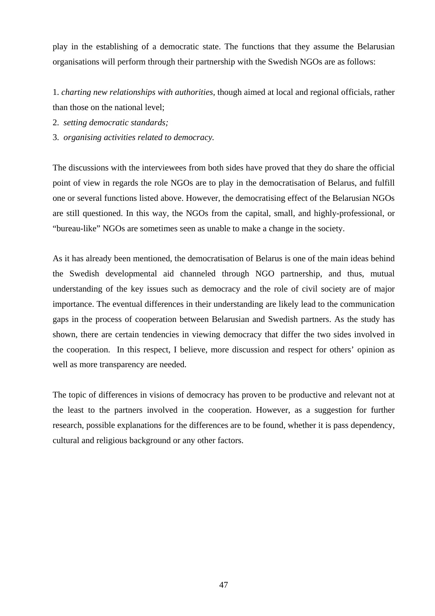play in the establishing of a democratic state. The functions that they assume the Belarusian organisations will perform through their partnership with the Swedish NGOs are as follows:

1. *charting new relationships with authorities,* though aimed at local and regional officials, rather than those on the national level;

- 2. *setting democratic standards;*
- 3. *organising activities related to democracy.*

The discussions with the interviewees from both sides have proved that they do share the official point of view in regards the role NGOs are to play in the democratisation of Belarus, and fulfill one or several functions listed above. However, the democratising effect of the Belarusian NGOs are still questioned. In this way, the NGOs from the capital, small, and highly-professional, or "bureau-like" NGOs are sometimes seen as unable to make a change in the society.

As it has already been mentioned, the democratisation of Belarus is one of the main ideas behind the Swedish developmental aid channeled through NGO partnership, and thus, mutual understanding of the key issues such as democracy and the role of civil society are of major importance. The eventual differences in their understanding are likely lead to the communication gaps in the process of cooperation between Belarusian and Swedish partners. As the study has shown, there are certain tendencies in viewing democracy that differ the two sides involved in the cooperation. In this respect, I believe, more discussion and respect for others' opinion as well as more transparency are needed.

The topic of differences in visions of democracy has proven to be productive and relevant not at the least to the partners involved in the cooperation. However, as a suggestion for further research, possible explanations for the differences are to be found, whether it is pass dependency, cultural and religious background or any other factors.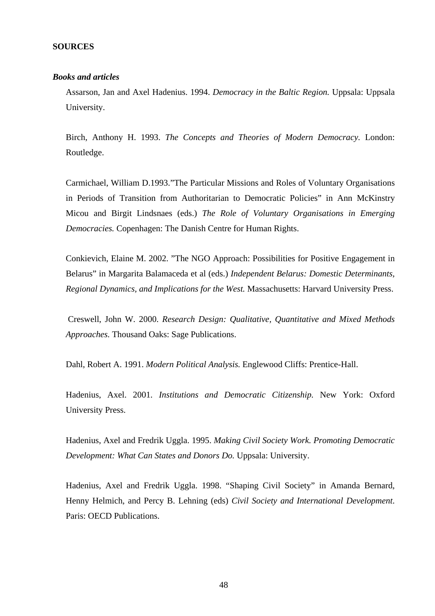#### **SOURCES**

#### *Books and articles*

Assarson, Jan and Axel Hadenius. 1994. *Democracy in the Baltic Region.* Uppsala: Uppsala University.

Birch, Anthony H. 1993. *The Concepts and Theories of Modern Democracy.* London: Routledge.

Carmichael, William D.1993."The Particular Missions and Roles of Voluntary Organisations in Periods of Transition from Authoritarian to Democratic Policies" in Ann McKinstry Micou and Birgit Lindsnaes (eds.) *The Role of Voluntary Organisations in Emerging Democracies.* Copenhagen: The Danish Centre for Human Rights.

Conkievich, Elaine M. 2002. "The NGO Approach: Possibilities for Positive Engagement in Belarus" in Margarita Balamaceda et al (eds.) *Independent Belarus: Domestic Determinants, Regional Dynamics, and Implications for the West.* Massachusetts: Harvard University Press.

 Creswell, John W. 2000. *Research Design: Qualitative, Quantitative and Mixed Methods Approaches.* Thousand Oaks: Sage Publications.

Dahl, Robert A. 1991. *Modern Political Analysis.* Englewood Cliffs: Prentice-Hall.

Hadenius, Axel. 2001. *Institutions and Democratic Citizenship.* New York: Oxford University Press.

Hadenius, Axel and Fredrik Uggla. 1995. *Making Civil Society Work. Promoting Democratic Development: What Can States and Donors Do.* Uppsala: University.

Hadenius, Axel and Fredrik Uggla. 1998. "Shaping Civil Society" in Amanda Bernard, Henny Helmich, and Percy B. Lehning (eds) *Civil Society and International Development*. Paris: OECD Publications.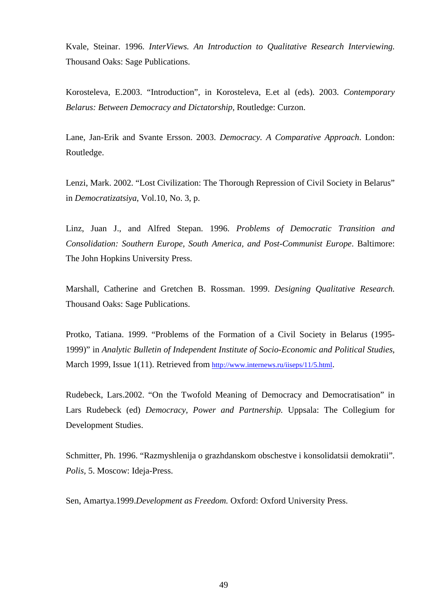Kvale, Steinar. 1996. *InterViews. An Introduction to Qualitative Research Interviewing.*  Thousand Oaks: Sage Publications.

Korosteleva, E.2003. "Introduction"*,* in Korosteleva, E.et al (eds). 2003. *Contemporary Belarus: Between Democracy and Dictatorship*, Routledge: Curzon.

Lane, Jan-Erik and Svante Ersson. 2003. *Democracy. A Comparative Approach*. London: Routledge.

Lenzi, Mark. 2002. "Lost Civilization: The Thorough Repression of Civil Society in Belarus" in *Democratizatsiya*, Vol.10, No. 3, p.

Linz, Juan J., and Alfred Stepan. 1996. *Problems of Democratic Transition and Consolidation: Southern Europe, South America, and Post-Communist Europe*. Baltimore: The John Hopkins University Press.

Marshall, Catherine and Gretchen B. Rossman. 1999. *Designing Qualitative Research.*  Thousand Oaks: Sage Publications.

Protko, Tatiana. 1999. "Problems of the Formation of a Civil Society in Belarus (1995- 1999)" in *Analytic Bulletin of Independent Institute of Socio-Economic and Political Studies*, March 1999, Issue 1(11). Retrieved from http://www.internews.ru/iiseps/11/5.html.

Rudebeck, Lars.2002. "On the Twofold Meaning of Democracy and Democratisation" in Lars Rudebeck (ed) *Democracy, Power and Partnership.* Uppsala: The Collegium for Development Studies.

Schmitter, Ph. 1996. "Razmyshlenija o grazhdanskom obschestve i konsolidatsii demokratii"*. Polis,* 5. Moscow: Ideja-Press.

Sen, Amartya.1999.*Development as Freedom.* Oxford: Oxford University Press.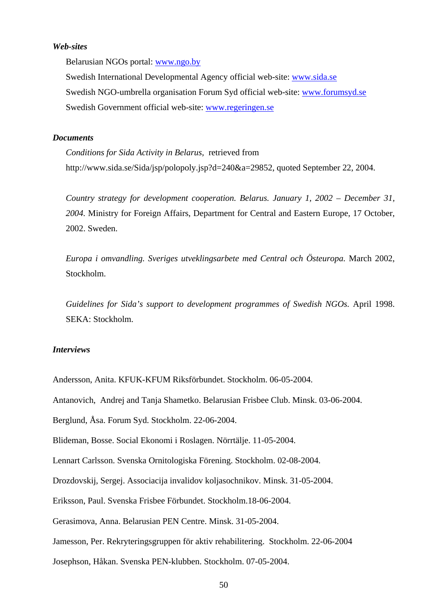#### *Web-sites*

Belarusian NGOs portal: www.ngo.by

Swedish International Developmental Agency official web-site: www.sida.se Swedish NGO-umbrella organisation Forum Syd official web-site: www.forumsyd.se Swedish Government official web-site: www.regeringen.se

#### *Documents*

*Conditions for Sida Activity in Belarus,* retrieved from http://www.sida.se/Sida/jsp/polopoly.jsp?d=240&a=29852, quoted September 22, 2004.

*Country strategy for development cooperation. Belarus. January 1, 2002 – December 31, 2004.* Ministry for Foreign Affairs, Department for Central and Eastern Europe, 17 October, 2002. Sweden.

*Europa i omvandling. Sveriges utveklingsarbete med Central och Östeuropa.* March 2002, Stockholm.

*Guidelines for Sida's support to development programmes of Swedish NGOs.* April 1998. SEKA: Stockholm.

# *Interviews*

Andersson, Anita. KFUK-KFUM Riksförbundet. Stockholm. 06-05-2004.

Antanovich, Andrej and Tanja Shametko. Belarusian Frisbee Club. Minsk. 03-06-2004.

Berglund, Åsa. Forum Syd. Stockholm. 22-06-2004.

Blideman, Bosse. Social Ekonomi i Roslagen. Nörrtälje. 11-05-2004.

Lennart Carlsson. Svenska Ornitologiska Förening. Stockholm. 02-08-2004.

Drozdovskij, Sergej. Associacija invalidov koljasochnikov. Minsk. 31-05-2004.

Eriksson, Paul. Svenska Frisbee Förbundet. Stockholm.18-06-2004.

Gerasimova, Anna. Belarusian PEN Centre. Minsk. 31-05-2004.

Jamesson, Per. Rekryteringsgruppen för aktiv rehabilitering. Stockholm. 22-06-2004

Josephson, Håkan. Svenska PEN-klubben. Stockholm. 07-05-2004.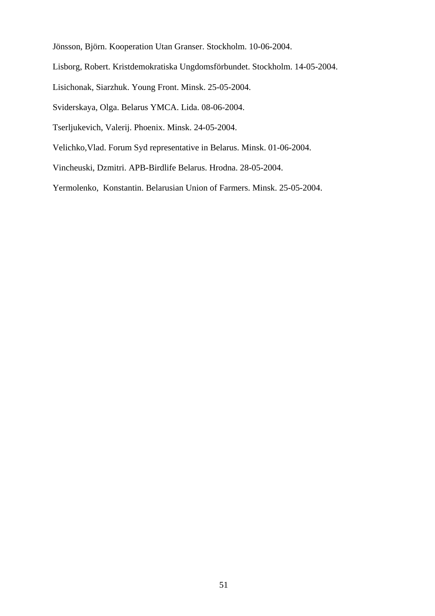- Jönsson, Björn. Kooperation Utan Granser. Stockholm. 10-06-2004.
- Lisborg, Robert. Kristdemokratiska Ungdomsförbundet. Stockholm. 14-05-2004.
- Lisichonak, Siarzhuk. Young Front. Minsk. 25-05-2004.
- Sviderskaya, Olga. Belarus YMCA. Lida. 08-06-2004.
- Tserljukevich, Valerij. Phoenix. Minsk. 24-05-2004.
- Velichko,Vlad. Forum Syd representative in Belarus. Minsk. 01-06-2004.
- Vincheuski, Dzmitri. APB-Birdlife Belarus. Hrodna. 28-05-2004.

Yermolenko, Konstantin. Belarusian Union of Farmers. Minsk. 25-05-2004.